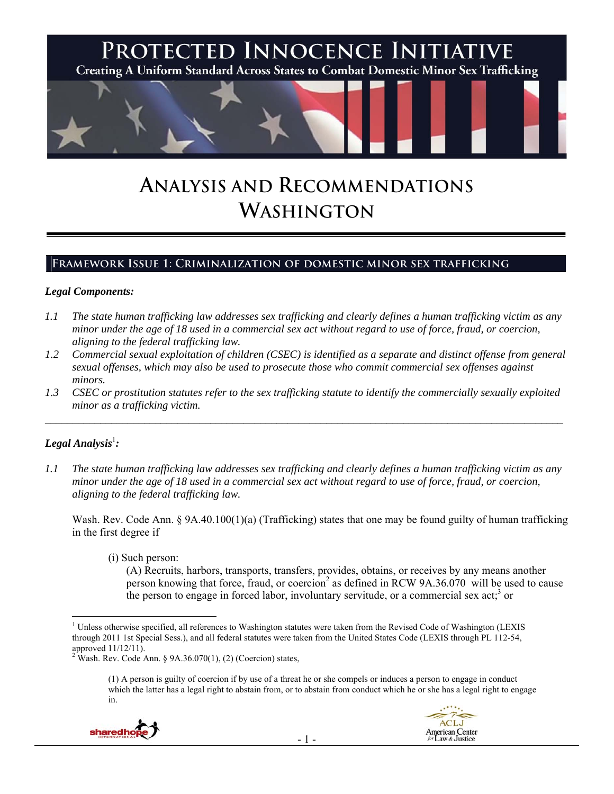

# **ANALYSIS AND RECOMMENDATIONS WASHINGTON**

## **Framework Issue 1: Criminalization of domestic minor sex trafficking**

#### *Legal Components:*

- *1.1 The state human trafficking law addresses sex trafficking and clearly defines a human trafficking victim as any minor under the age of 18 used in a commercial sex act without regard to use of force, fraud, or coercion, aligning to the federal trafficking law.*
- *1.2 Commercial sexual exploitation of children (CSEC) is identified as a separate and distinct offense from general sexual offenses, which may also be used to prosecute those who commit commercial sex offenses against minors.*
- *1.3 CSEC or prostitution statutes refer to the sex trafficking statute to identify the commercially sexually exploited minor as a trafficking victim.*   $\mathcal{L}_\mathcal{L} = \{ \mathcal{L}_\mathcal{L} = \{ \mathcal{L}_\mathcal{L} = \{ \mathcal{L}_\mathcal{L} = \{ \mathcal{L}_\mathcal{L} = \{ \mathcal{L}_\mathcal{L} = \{ \mathcal{L}_\mathcal{L} = \{ \mathcal{L}_\mathcal{L} = \{ \mathcal{L}_\mathcal{L} = \{ \mathcal{L}_\mathcal{L} = \{ \mathcal{L}_\mathcal{L} = \{ \mathcal{L}_\mathcal{L} = \{ \mathcal{L}_\mathcal{L} = \{ \mathcal{L}_\mathcal{L} = \{ \mathcal{L}_\mathcal{$

# $\bm{L}$ egal Analysis<sup>1</sup>:

*1.1 The state human trafficking law addresses sex trafficking and clearly defines a human trafficking victim as any minor under the age of 18 used in a commercial sex act without regard to use of force, fraud, or coercion, aligning to the federal trafficking law.* 

Wash. Rev. Code Ann. § 9A.40.100(1)(a) (Trafficking) states that one may be found guilty of human trafficking in the first degree if

(i) Such person:

(A) Recruits, harbors, transports, transfers, provides, obtains, or receives by any means another person knowing that force, fraud, or coercion<sup>2</sup> as defined in RCW 9A.36.070 will be used to cause the person to engage in forced labor, involuntary servitude, or a commercial sex act;<sup>3</sup> or

<sup>(1)</sup> A person is guilty of coercion if by use of a threat he or she compels or induces a person to engage in conduct which the latter has a legal right to abstain from, or to abstain from conduct which he or she has a legal right to engage in.





 $\overline{a}$ <sup>1</sup> Unless otherwise specified, all references to Washington statutes were taken from the Revised Code of Washington (LEXIS through 2011 1st Special Sess.), and all federal statutes were taken from the United States Code (LEXIS through PL 112-54, approved 11/12/11).<br><sup>2</sup> Wash. Rev. Code Ann. § 9A.36.070(1), (2) (Coercion) states,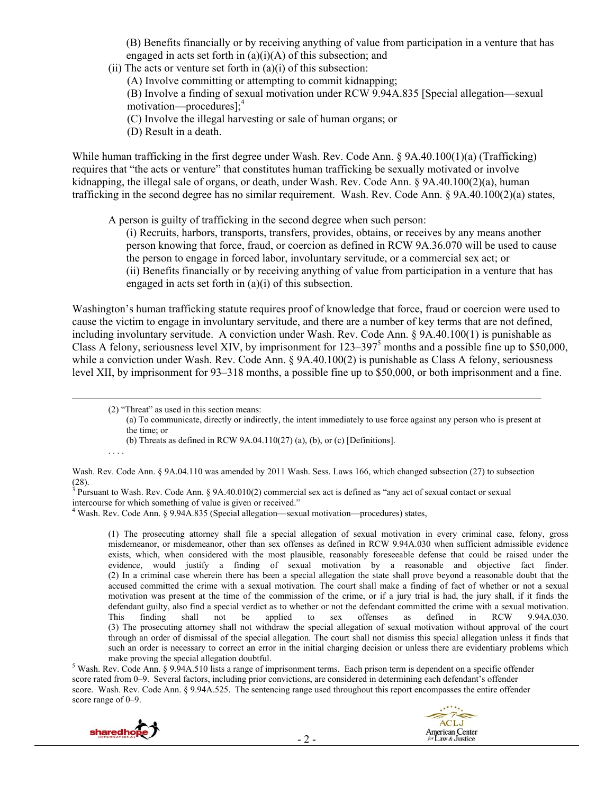(B) Benefits financially or by receiving anything of value from participation in a venture that has engaged in acts set forth in  $(a)(i)(A)$  of this subsection; and

(ii) The acts or venture set forth in  $(a)(i)$  of this subsection:

(A) Involve committing or attempting to commit kidnapping;

(B) Involve a finding of sexual motivation under RCW 9.94A.835 [Special allegation—sexual motivation—procedures];<sup>4</sup>

(C) Involve the illegal harvesting or sale of human organs; or

(D) Result in a death.

While human trafficking in the first degree under Wash. Rev. Code Ann. § 9A.40.100(1)(a) (Trafficking) requires that "the acts or venture" that constitutes human trafficking be sexually motivated or involve kidnapping, the illegal sale of organs, or death, under Wash. Rev. Code Ann. § 9A.40.100(2)(a), human trafficking in the second degree has no similar requirement. Wash. Rev. Code Ann. § 9A.40.100(2)(a) states,

A person is guilty of trafficking in the second degree when such person:

(i) Recruits, harbors, transports, transfers, provides, obtains, or receives by any means another person knowing that force, fraud, or coercion as defined in RCW 9A.36.070 will be used to cause the person to engage in forced labor, involuntary servitude, or a commercial sex act; or (ii) Benefits financially or by receiving anything of value from participation in a venture that has engaged in acts set forth in (a)(i) of this subsection.

Washington's human trafficking statute requires proof of knowledge that force, fraud or coercion were used to cause the victim to engage in involuntary servitude, and there are a number of key terms that are not defined, including involuntary servitude. A conviction under Wash. Rev. Code Ann. § 9A.40.100(1) is punishable as Class A felony, seriousness level XIV, by imprisonment for  $123-397<sup>5</sup>$  months and a possible fine up to \$50,000, while a conviction under Wash. Rev. Code Ann. § 9A.40.100(2) is punishable as Class A felony, seriousness level XII, by imprisonment for 93–318 months, a possible fine up to \$50,000, or both imprisonment and a fine.

(b) Threats as defined in RCW 9A.04.110(27) (a), (b), or (c) [Definitions].

. . . .

Wash. Rev. Code Ann. § 9A.04.110 was amended by 2011 Wash. Sess. Laws 166, which changed subsection (27) to subsection (28).<br><sup>3</sup> Pursuant to Wash. Rev. Code Ann. § 9A.40.010(2) commercial sex act is defined as "any act of sexual contact or sexual

intercourse for which something of value is given or received." 4 Wash. Rev. Code Ann. § 9.94A.835 (Special allegation—sexual motivation—procedures) states,

(1) The prosecuting attorney shall file a special allegation of sexual motivation in every criminal case, felony, gross misdemeanor, or misdemeanor, other than sex offenses as defined in RCW 9.94A.030 when sufficient admissible evidence exists, which, when considered with the most plausible, reasonably foreseeable defense that could be raised under the evidence, would justify a finding of sexual motivation by a reasonable and objective fact finder. (2) In a criminal case wherein there has been a special allegation the state shall prove beyond a reasonable doubt that the accused committed the crime with a sexual motivation. The court shall make a finding of fact of whether or not a sexual motivation was present at the time of the commission of the crime, or if a jury trial is had, the jury shall, if it finds the defendant guilty, also find a special verdict as to whether or not the defendant committed the crime with a sexual motivation.<br>This finding shall not be applied to sex offenses as defined in RCW 9.94A.030. This finding shall not be applied to sex offenses as defined in RCW 9.94A.030. (3) The prosecuting attorney shall not withdraw the special allegation of sexual motivation without approval of the court through an order of dismissal of the special allegation. The court shall not dismiss this special allegation unless it finds that such an order is necessary to correct an error in the initial charging decision or unless there are evidentiary problems which make proving the special allegation doubtful. 5

 Wash. Rev. Code Ann. § 9.94A.510 lists a range of imprisonment terms. Each prison term is dependent on a specific offender score rated from 0–9. Several factors, including prior convictions, are considered in determining each defendant's offender score. Wash. Rev. Code Ann. § 9.94A.525. The sentencing range used throughout this report encompasses the entire offender score range of 0–9.



 <sup>(2) &</sup>quot;Threat" as used in this section means:

<sup>(</sup>a) To communicate, directly or indirectly, the intent immediately to use force against any person who is present at the time; or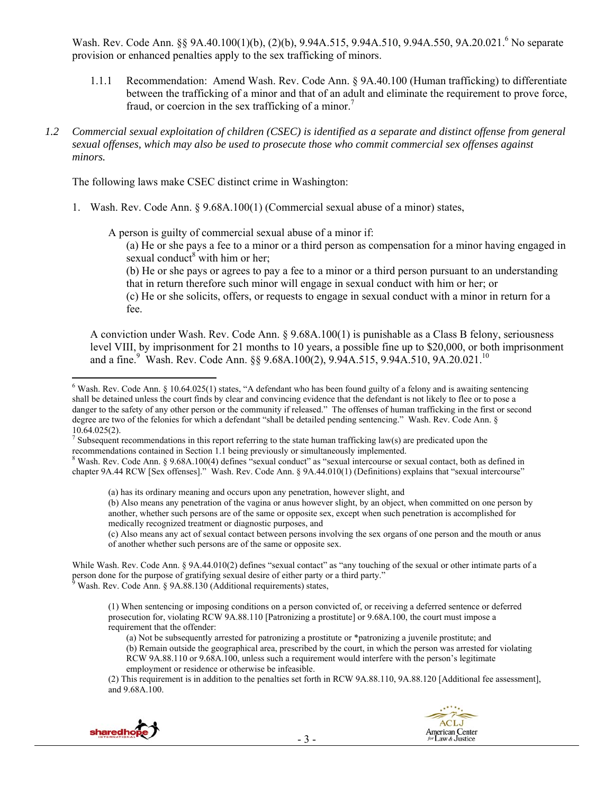Wash. Rev. Code Ann. §§ 9A.40.100(1)(b), (2)(b), 9.94A.515, 9.94A.510, 9.94A.550, 9A.20.021.<sup>6</sup> No separate provision or enhanced penalties apply to the sex trafficking of minors.

- 1.1.1 Recommendation: Amend Wash. Rev. Code Ann. § 9A.40.100 (Human trafficking) to differentiate between the trafficking of a minor and that of an adult and eliminate the requirement to prove force, fraud, or coercion in the sex trafficking of a minor.<sup>7</sup>
- *1.2 Commercial sexual exploitation of children (CSEC) is identified as a separate and distinct offense from general sexual offenses, which may also be used to prosecute those who commit commercial sex offenses against minors.*

The following laws make CSEC distinct crime in Washington:

1. Wash. Rev. Code Ann. § 9.68A.100(1) (Commercial sexual abuse of a minor) states,

A person is guilty of commercial sexual abuse of a minor if:

(a) He or she pays a fee to a minor or a third person as compensation for a minor having engaged in sexual conduct<sup>8</sup> with him or her;

(b) He or she pays or agrees to pay a fee to a minor or a third person pursuant to an understanding that in return therefore such minor will engage in sexual conduct with him or her; or

(c) He or she solicits, offers, or requests to engage in sexual conduct with a minor in return for a fee.

A conviction under Wash. Rev. Code Ann. § 9.68A.100(1) is punishable as a Class B felony, seriousness level VIII, by imprisonment for 21 months to 10 years, a possible fine up to \$20,000, or both imprisonment and a fine.<sup>9</sup> Wash. Rev. Code Ann. §§ 9.68A.100(2), 9.94A.515, 9.94A.510, 9A.20.021.<sup>10</sup>

<sup>(2)</sup> This requirement is in addition to the penalties set forth in RCW 9A.88.110, 9A.88.120 [Additional fee assessment], and 9.68A.100.





 $6$  Wash. Rev. Code Ann. § 10.64.025(1) states, "A defendant who has been found guilty of a felony and is awaiting sentencing shall be detained unless the court finds by clear and convincing evidence that the defendant is not likely to flee or to pose a danger to the safety of any other person or the community if released." The offenses of human trafficking in the first or second degree are two of the felonies for which a defendant "shall be detailed pending sentencing." Wash. Rev. Code Ann. § 10.64.025(2).

<sup>&</sup>lt;sup>7</sup> Subsequent recommendations in this report referring to the state human trafficking law(s) are predicated upon the recommendations contained in Section 1.1 being previously or simultaneously implemented. 8

 $8$  Wash. Rev. Code Ann.  $\S$  9.68A.100(4) defines "sexual conduct" as "sexual intercourse or sexual contact, both as defined in chapter 9A.44 RCW [Sex offenses]." Wash. Rev. Code Ann. § 9A.44.010(1) (Definitions) explains that "sexual intercourse"

<sup>(</sup>a) has its ordinary meaning and occurs upon any penetration, however slight, and

<sup>(</sup>b) Also means any penetration of the vagina or anus however slight, by an object, when committed on one person by another, whether such persons are of the same or opposite sex, except when such penetration is accomplished for medically recognized treatment or diagnostic purposes, and

<sup>(</sup>c) Also means any act of sexual contact between persons involving the sex organs of one person and the mouth or anus of another whether such persons are of the same or opposite sex.

While Wash. Rev. Code Ann. § 9A.44.010(2) defines "sexual contact" as "any touching of the sexual or other intimate parts of a person done for the purpose of gratifying sexual desire of either party or a third party."<br><sup>9</sup> Wash. Rev. Code Ann. § 9A.88.130 (Additional requirements) states,

<sup>(1)</sup> When sentencing or imposing conditions on a person convicted of, or receiving a deferred sentence or deferred prosecution for, violating RCW 9A.88.110 [Patronizing a prostitute] or 9.68A.100, the court must impose a requirement that the offender:

<sup>(</sup>a) Not be subsequently arrested for patronizing a prostitute or \*patronizing a juvenile prostitute; and (b) Remain outside the geographical area, prescribed by the court, in which the person was arrested for violating RCW 9A.88.110 or 9.68A.100, unless such a requirement would interfere with the person's legitimate employment or residence or otherwise be infeasible.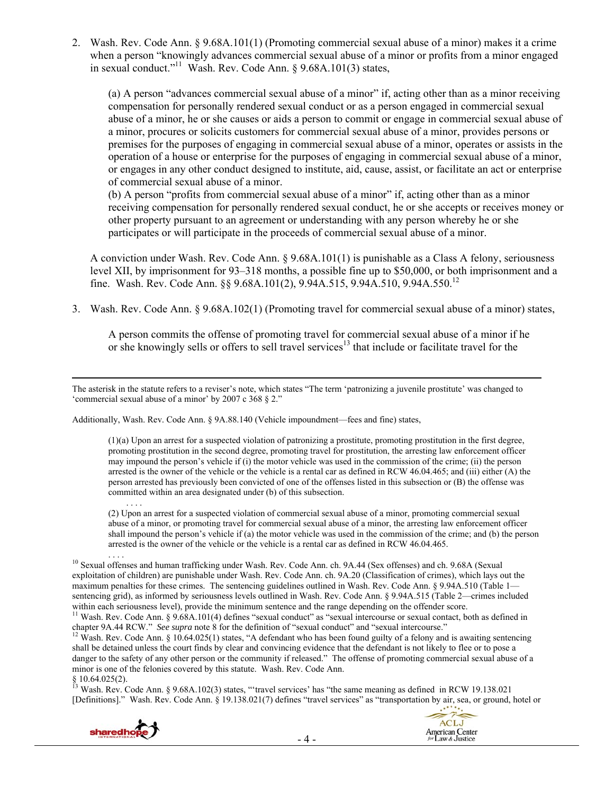2. Wash. Rev. Code Ann. § 9.68A.101(1) (Promoting commercial sexual abuse of a minor) makes it a crime when a person "knowingly advances commercial sexual abuse of a minor or profits from a minor engaged in sexual conduct."<sup>11</sup> Wash. Rev. Code Ann.  $\delta$  9.68A.101(3) states,

(a) A person "advances commercial sexual abuse of a minor" if, acting other than as a minor receiving compensation for personally rendered sexual conduct or as a person engaged in commercial sexual abuse of a minor, he or she causes or aids a person to commit or engage in commercial sexual abuse of a minor, procures or solicits customers for commercial sexual abuse of a minor, provides persons or premises for the purposes of engaging in commercial sexual abuse of a minor, operates or assists in the operation of a house or enterprise for the purposes of engaging in commercial sexual abuse of a minor, or engages in any other conduct designed to institute, aid, cause, assist, or facilitate an act or enterprise of commercial sexual abuse of a minor.

(b) A person "profits from commercial sexual abuse of a minor" if, acting other than as a minor receiving compensation for personally rendered sexual conduct, he or she accepts or receives money or other property pursuant to an agreement or understanding with any person whereby he or she participates or will participate in the proceeds of commercial sexual abuse of a minor.

A conviction under Wash. Rev. Code Ann. § 9.68A.101(1) is punishable as a Class A felony, seriousness level XII, by imprisonment for 93–318 months, a possible fine up to \$50,000, or both imprisonment and a fine. Wash. Rev. Code Ann. §§ 9.68A.101(2), 9.94A.515, 9.94A.510, 9.94A.550.12

3. Wash. Rev. Code Ann. § 9.68A.102(1) (Promoting travel for commercial sexual abuse of a minor) states,

A person commits the offense of promoting travel for commercial sexual abuse of a minor if he or she knowingly sells or offers to sell travel services<sup>13</sup> that include or facilitate travel for the

Additionally, Wash. Rev. Code Ann. § 9A.88.140 (Vehicle impoundment—fees and fine) states,

(1)(a) Upon an arrest for a suspected violation of patronizing a prostitute, promoting prostitution in the first degree, promoting prostitution in the second degree, promoting travel for prostitution, the arresting law enforcement officer may impound the person's vehicle if (i) the motor vehicle was used in the commission of the crime; (ii) the person arrested is the owner of the vehicle or the vehicle is a rental car as defined in RCW 46.04.465; and (iii) either (A) the person arrested has previously been convicted of one of the offenses listed in this subsection or (B) the offense was committed within an area designated under (b) of this subsection.

. . . . (2) Upon an arrest for a suspected violation of commercial sexual abuse of a minor, promoting commercial sexual abuse of a minor, or promoting travel for commercial sexual abuse of a minor, the arresting law enforcement officer shall impound the person's vehicle if (a) the motor vehicle was used in the commission of the crime; and (b) the person arrested is the owner of the vehicle or the vehicle is a rental car as defined in RCW 46.04.465.

<sup>10</sup> Sexual offenses and human trafficking under Wash. Rev. Code Ann. ch. 9A.44 (Sex offenses) and ch. 9.68A (Sexual exploitation of children) are punishable under Wash. Rev. Code Ann. ch. 9A.20 (Classification of crimes), which lays out the maximum penalties for these crimes. The sentencing guidelines outlined in Wash. Rev. Code Ann. § 9.94A.510 (Table 1 sentencing grid), as informed by seriousness levels outlined in Wash. Rev. Code Ann. § 9.94A.515 (Table 2—crimes included within each seriousness level), provide the minimum sentence and the range depending on the offender score. <sup>11</sup> Wash. Rev. Code Ann. § 9.68A.101(4) defines "sexual conduct" as "sexual intercourse or sexual contact, both as defined in

chapter 9A.44 RCW." See supra note 8 for the definition of "sexual conduct" and "sexual intercourse."<br><sup>12</sup> Wash. Rev. Code Ann. § 10.64.025(1) states, "A defendant who has been found guilty of a felony and is awaiting sent shall be detained unless the court finds by clear and convincing evidence that the defendant is not likely to flee or to pose a danger to the safety of any other person or the community if released." The offense of promoting commercial sexual abuse of a minor is one of the felonies covered by this statute. Wash. Rev. Code Ann.  $§$  10.64.025(2).

<sup>13</sup> Wash. Rev. Code Ann. § 9.68A.102(3) states, "travel services' has "the same meaning as defined in RCW 19.138.021 [Definitions]." Wash. Rev. Code Ann. § 19.138.021(7) defines "travel services" as "transportation by air, sea, or ground, hotel or





The asterisk in the statute refers to a reviser's note, which states "The term 'patronizing a juvenile prostitute' was changed to 'commercial sexual abuse of a minor' by 2007 c 368 § 2."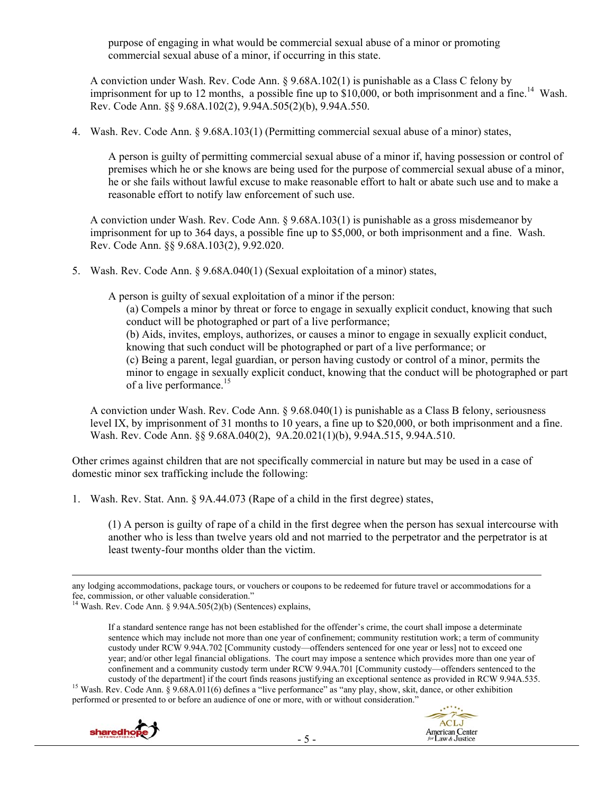purpose of engaging in what would be commercial sexual abuse of a minor or promoting commercial sexual abuse of a minor, if occurring in this state.

A conviction under Wash. Rev. Code Ann. § 9.68A.102(1) is punishable as a Class C felony by imprisonment for up to 12 months, a possible fine up to \$10,000, or both imprisonment and a fine.<sup>14</sup> Wash. Rev. Code Ann. §§ 9.68A.102(2), 9.94A.505(2)(b), 9.94A.550.

4. Wash. Rev. Code Ann. § 9.68A.103(1) (Permitting commercial sexual abuse of a minor) states,

A person is guilty of permitting commercial sexual abuse of a minor if, having possession or control of premises which he or she knows are being used for the purpose of commercial sexual abuse of a minor, he or she fails without lawful excuse to make reasonable effort to halt or abate such use and to make a reasonable effort to notify law enforcement of such use.

A conviction under Wash. Rev. Code Ann. § 9.68A.103(1) is punishable as a gross misdemeanor by imprisonment for up to 364 days, a possible fine up to \$5,000, or both imprisonment and a fine. Wash. Rev. Code Ann. §§ 9.68A.103(2), 9.92.020.

5. Wash. Rev. Code Ann. § 9.68A.040(1) (Sexual exploitation of a minor) states,

A person is guilty of sexual exploitation of a minor if the person:

(a) Compels a minor by threat or force to engage in sexually explicit conduct, knowing that such conduct will be photographed or part of a live performance; (b) Aids, invites, employs, authorizes, or causes a minor to engage in sexually explicit conduct, knowing that such conduct will be photographed or part of a live performance; or (c) Being a parent, legal guardian, or person having custody or control of a minor, permits the minor to engage in sexually explicit conduct, knowing that the conduct will be photographed or part of a live performance.<sup>15</sup>

A conviction under Wash. Rev. Code Ann. § 9.68.040(1) is punishable as a Class B felony, seriousness level IX, by imprisonment of 31 months to 10 years, a fine up to \$20,000, or both imprisonment and a fine. Wash. Rev. Code Ann. §§ 9.68A.040(2), 9A.20.021(1)(b), 9.94A.515, 9.94A.510.

Other crimes against children that are not specifically commercial in nature but may be used in a case of domestic minor sex trafficking include the following:

1. Wash. Rev. Stat. Ann. § 9A.44.073 (Rape of a child in the first degree) states,

(1) A person is guilty of rape of a child in the first degree when the person has sexual intercourse with another who is less than twelve years old and not married to the perpetrator and the perpetrator is at least twenty-four months older than the victim.

custody of the department] if the court finds reasons justifying an exceptional sentence as provided in RCW 9.94A.535.<br><sup>15</sup> Wash. Rev. Code Ann. § 9.68A.011(6) defines a "live performance" as "any play, show, skit, dance, performed or presented to or before an audience of one or more, with or without consideration."





any lodging accommodations, package tours, or vouchers or coupons to be redeemed for future travel or accommodations for a fee, commission, or other valuable consideration."

<sup>14</sup> Wash. Rev. Code Ann. § 9.94A.505(2)(b) (Sentences) explains,

If a standard sentence range has not been established for the offender's crime, the court shall impose a determinate sentence which may include not more than one year of confinement; community restitution work; a term of community custody under RCW 9.94A.702 [Community custody—offenders sentenced for one year or less] not to exceed one year; and/or other legal financial obligations. The court may impose a sentence which provides more than one year of confinement and a community custody term under RCW 9.94A.701 [Community custody—offenders sentenced to the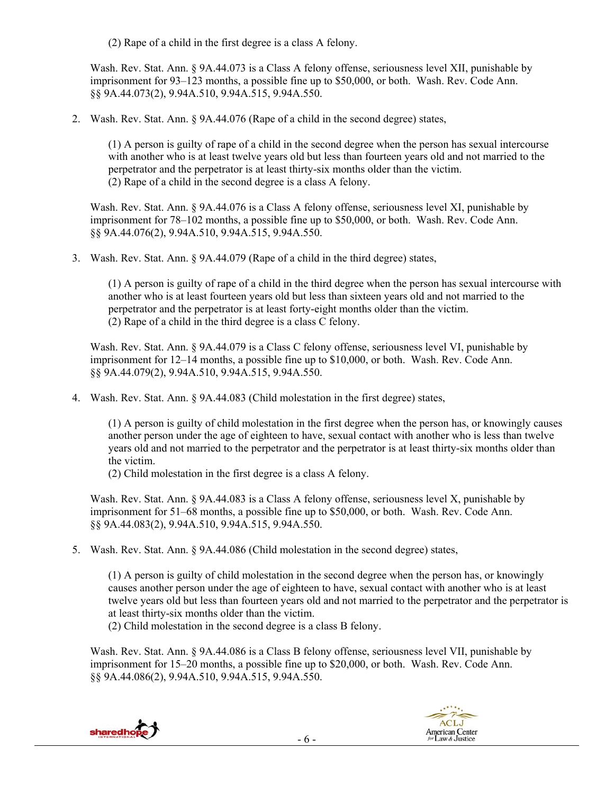(2) Rape of a child in the first degree is a class A felony.

Wash. Rev. Stat. Ann. § 9A.44.073 is a Class A felony offense, seriousness level XII, punishable by imprisonment for 93–123 months, a possible fine up to \$50,000, or both. Wash. Rev. Code Ann. §§ 9A.44.073(2), 9.94A.510, 9.94A.515, 9.94A.550.

2. Wash. Rev. Stat. Ann. § 9A.44.076 (Rape of a child in the second degree) states,

(1) A person is guilty of rape of a child in the second degree when the person has sexual intercourse with another who is at least twelve years old but less than fourteen years old and not married to the perpetrator and the perpetrator is at least thirty-six months older than the victim. (2) Rape of a child in the second degree is a class A felony.

Wash. Rev. Stat. Ann. § 9A.44.076 is a Class A felony offense, seriousness level XI, punishable by imprisonment for 78–102 months, a possible fine up to \$50,000, or both. Wash. Rev. Code Ann. §§ 9A.44.076(2), 9.94A.510, 9.94A.515, 9.94A.550.

3. Wash. Rev. Stat. Ann. § 9A.44.079 (Rape of a child in the third degree) states,

(1) A person is guilty of rape of a child in the third degree when the person has sexual intercourse with another who is at least fourteen years old but less than sixteen years old and not married to the perpetrator and the perpetrator is at least forty-eight months older than the victim. (2) Rape of a child in the third degree is a class C felony.

Wash. Rev. Stat. Ann. § 9A.44.079 is a Class C felony offense, seriousness level VI, punishable by imprisonment for 12–14 months, a possible fine up to \$10,000, or both. Wash. Rev. Code Ann. §§ 9A.44.079(2), 9.94A.510, 9.94A.515, 9.94A.550.

4. Wash. Rev. Stat. Ann. § 9A.44.083 (Child molestation in the first degree) states,

(1) A person is guilty of child molestation in the first degree when the person has, or knowingly causes another person under the age of eighteen to have, sexual contact with another who is less than twelve years old and not married to the perpetrator and the perpetrator is at least thirty-six months older than the victim.

(2) Child molestation in the first degree is a class A felony.

Wash. Rev. Stat. Ann. § 9A.44.083 is a Class A felony offense, seriousness level X, punishable by imprisonment for 51–68 months, a possible fine up to \$50,000, or both. Wash. Rev. Code Ann. §§ 9A.44.083(2), 9.94A.510, 9.94A.515, 9.94A.550.

5. Wash. Rev. Stat. Ann. § 9A.44.086 (Child molestation in the second degree) states,

(1) A person is guilty of child molestation in the second degree when the person has, or knowingly causes another person under the age of eighteen to have, sexual contact with another who is at least twelve years old but less than fourteen years old and not married to the perpetrator and the perpetrator is at least thirty-six months older than the victim.

(2) Child molestation in the second degree is a class B felony.

Wash. Rev. Stat. Ann. § 9A.44.086 is a Class B felony offense, seriousness level VII, punishable by imprisonment for 15–20 months, a possible fine up to \$20,000, or both. Wash. Rev. Code Ann. §§ 9A.44.086(2), 9.94A.510, 9.94A.515, 9.94A.550.



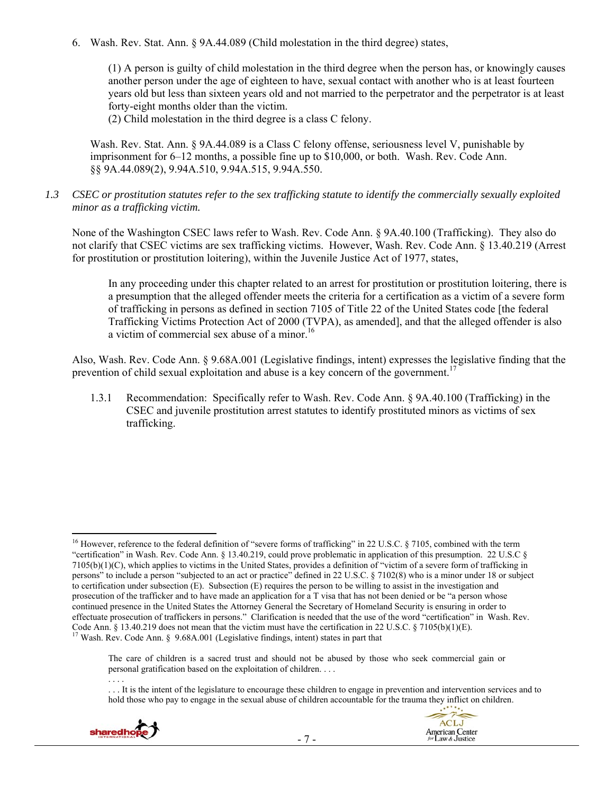6. Wash. Rev. Stat. Ann. § 9A.44.089 (Child molestation in the third degree) states,

(1) A person is guilty of child molestation in the third degree when the person has, or knowingly causes another person under the age of eighteen to have, sexual contact with another who is at least fourteen years old but less than sixteen years old and not married to the perpetrator and the perpetrator is at least forty-eight months older than the victim.

(2) Child molestation in the third degree is a class C felony.

Wash. Rev. Stat. Ann. § 9A.44.089 is a Class C felony offense, seriousness level V, punishable by imprisonment for 6–12 months, a possible fine up to \$10,000, or both. Wash. Rev. Code Ann. §§ 9A.44.089(2), 9.94A.510, 9.94A.515, 9.94A.550.

*1.3 CSEC or prostitution statutes refer to the sex trafficking statute to identify the commercially sexually exploited minor as a trafficking victim.* 

None of the Washington CSEC laws refer to Wash. Rev. Code Ann. § 9A.40.100 (Trafficking). They also do not clarify that CSEC victims are sex trafficking victims. However, Wash. Rev. Code Ann. § 13.40.219 (Arrest for prostitution or prostitution loitering), within the Juvenile Justice Act of 1977, states,

In any proceeding under this chapter related to an arrest for prostitution or prostitution loitering, there is a presumption that the alleged offender meets the criteria for a certification as a victim of a severe form of trafficking in persons as defined in section 7105 of Title 22 of the United States code [the federal Trafficking Victims Protection Act of 2000 (TVPA), as amended], and that the alleged offender is also a victim of commercial sex abuse of a minor.<sup>16</sup>

Also, Wash. Rev. Code Ann. § 9.68A.001 (Legislative findings, intent) expresses the legislative finding that the prevention of child sexual exploitation and abuse is a key concern of the government.<sup>1</sup>

1.3.1 Recommendation: Specifically refer to Wash. Rev. Code Ann. § 9A.40.100 (Trafficking) in the CSEC and juvenile prostitution arrest statutes to identify prostituted minors as victims of sex trafficking.

<sup>. . .</sup> It is the intent of the legislature to encourage these children to engage in prevention and intervention services and to hold those who pay to engage in the sexual abuse of children accountable for the trauma they inflict on children.



<sup>&</sup>lt;sup>16</sup> However, reference to the federal definition of "severe forms of trafficking" in 22 U.S.C. § 7105, combined with the term "certification" in Wash. Rev. Code Ann. § 13.40.219, could prove problematic in application of this presumption. 22 U.S.C § 7105(b)(1)(C), which applies to victims in the United States, provides a definition of "victim of a severe form of trafficking in persons" to include a person "subjected to an act or practice" defined in 22 U.S.C. § 7102(8) who is a minor under 18 or subject to certification under subsection (E). Subsection (E) requires the person to be willing to assist in the investigation and prosecution of the trafficker and to have made an application for a T visa that has not been denied or be "a person whose continued presence in the United States the Attorney General the Secretary of Homeland Security is ensuring in order to effectuate prosecution of traffickers in persons." Clarification is needed that the use of the word "certification" in Wash. Rev. Code Ann. § 13.40.219 does not mean that the victim must have the certification in 22 U.S.C. § 7105(b)(1)(E). <sup>17</sup> Wash. Rev. Code Ann. § 9.68A.001 (Legislative findings, intent) states in part that

The care of children is a sacred trust and should not be abused by those who seek commercial gain or personal gratification based on the exploitation of children. . . . . . . .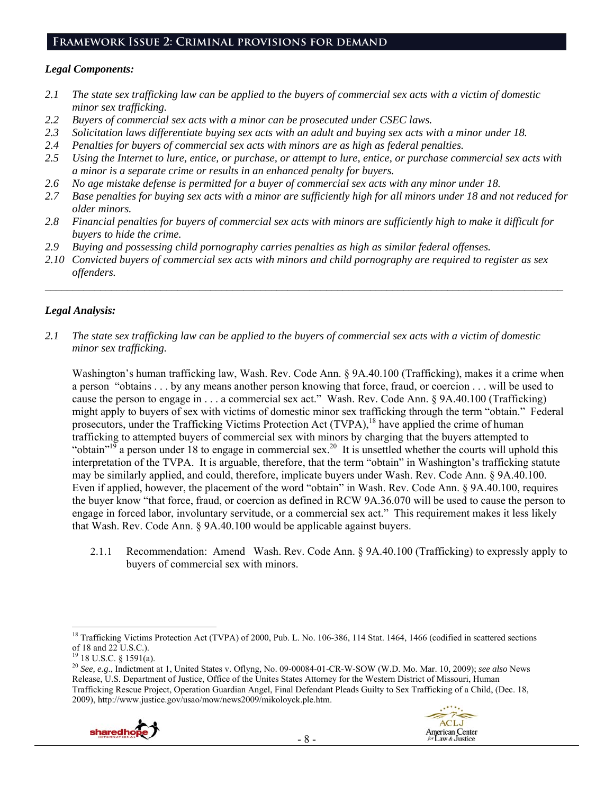## **Framework Issue 2: Criminal provisions for demand**

## *Legal Components:*

- *2.1 The state sex trafficking law can be applied to the buyers of commercial sex acts with a victim of domestic minor sex trafficking.*
- *2.2 Buyers of commercial sex acts with a minor can be prosecuted under CSEC laws.*
- *2.3 Solicitation laws differentiate buying sex acts with an adult and buying sex acts with a minor under 18.*
- *2.4 Penalties for buyers of commercial sex acts with minors are as high as federal penalties.*
- *2.5 Using the Internet to lure, entice, or purchase, or attempt to lure, entice, or purchase commercial sex acts with a minor is a separate crime or results in an enhanced penalty for buyers.*
- *2.6 No age mistake defense is permitted for a buyer of commercial sex acts with any minor under 18.*
- *2.7 Base penalties for buying sex acts with a minor are sufficiently high for all minors under 18 and not reduced for older minors.*
- *2.8 Financial penalties for buyers of commercial sex acts with minors are sufficiently high to make it difficult for buyers to hide the crime.*
- *2.9 Buying and possessing child pornography carries penalties as high as similar federal offenses.*
- *2.10 Convicted buyers of commercial sex acts with minors and child pornography are required to register as sex offenders.*

 $\mathcal{L}_\mathcal{L} = \{ \mathcal{L}_\mathcal{L} = \{ \mathcal{L}_\mathcal{L} = \{ \mathcal{L}_\mathcal{L} = \{ \mathcal{L}_\mathcal{L} = \{ \mathcal{L}_\mathcal{L} = \{ \mathcal{L}_\mathcal{L} = \{ \mathcal{L}_\mathcal{L} = \{ \mathcal{L}_\mathcal{L} = \{ \mathcal{L}_\mathcal{L} = \{ \mathcal{L}_\mathcal{L} = \{ \mathcal{L}_\mathcal{L} = \{ \mathcal{L}_\mathcal{L} = \{ \mathcal{L}_\mathcal{L} = \{ \mathcal{L}_\mathcal{$ 

## *Legal Analysis:*

*2.1 The state sex trafficking law can be applied to the buyers of commercial sex acts with a victim of domestic minor sex trafficking.* 

Washington's human trafficking law, Wash. Rev. Code Ann. § 9A.40.100 (Trafficking), makes it a crime when a person "obtains . . . by any means another person knowing that force, fraud, or coercion . . . will be used to cause the person to engage in . . . a commercial sex act." Wash. Rev. Code Ann. § 9A.40.100 (Trafficking) might apply to buyers of sex with victims of domestic minor sex trafficking through the term "obtain." Federal prosecutors, under the Trafficking Victims Protection Act (TVPA),<sup>18</sup> have applied the crime of human trafficking to attempted buyers of commercial sex with minors by charging that the buyers attempted to "obtain"<sup>19</sup> a person under 18 to engage in commercial sex.<sup>20</sup> It is unsettled whether the courts will uphold this interpretation of the TVPA. It is arguable, therefore, that the term "obtain" in Washington's trafficking statute may be similarly applied, and could, therefore, implicate buyers under Wash. Rev. Code Ann. § 9A.40.100. Even if applied, however, the placement of the word "obtain" in Wash. Rev. Code Ann. § 9A.40.100, requires the buyer know "that force, fraud, or coercion as defined in RCW 9A.36.070 will be used to cause the person to engage in forced labor, involuntary servitude, or a commercial sex act." This requirement makes it less likely that Wash. Rev. Code Ann. § 9A.40.100 would be applicable against buyers.

2.1.1 Recommendation: Amend Wash. Rev. Code Ann. § 9A.40.100 (Trafficking) to expressly apply to buyers of commercial sex with minors.

<sup>20</sup> *See, e.g*., Indictment at 1, United States v. Oflyng, No. 09-00084-01-CR-W-SOW (W.D. Mo. Mar. 10, 2009); *see also* News Release, U.S. Department of Justice, Office of the Unites States Attorney for the Western District of Missouri, Human Trafficking Rescue Project, Operation Guardian Angel, Final Defendant Pleads Guilty to Sex Trafficking of a Child, (Dec. 18, 2009), http://www.justice.gov/usao/mow/news2009/mikoloyck.ple.htm.



 $\overline{a}$ <sup>18</sup> Trafficking Victims Protection Act (TVPA) of 2000, Pub. L. No. 106-386, 114 Stat. 1464, 1466 (codified in scattered sections of 18 and 22 U.S.C.).

<sup>19 18</sup> U.S.C. § 1591(a).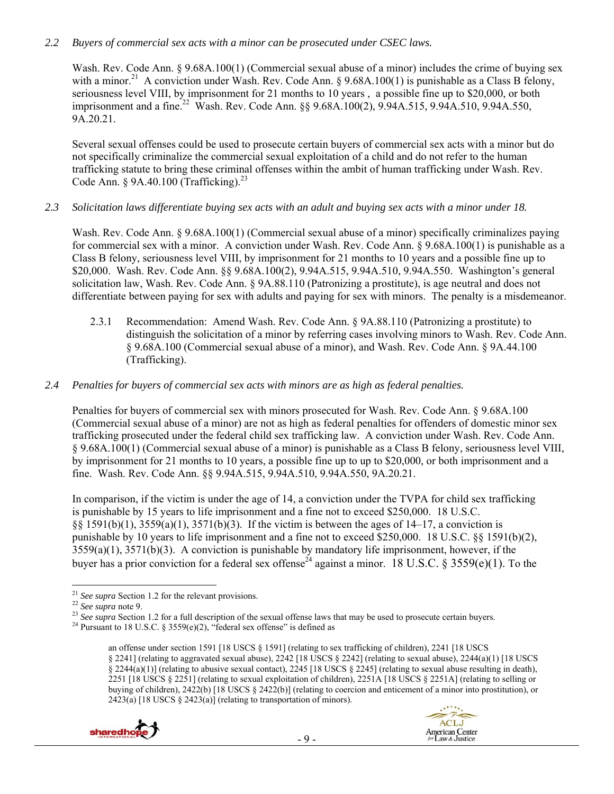## *2.2 Buyers of commercial sex acts with a minor can be prosecuted under CSEC laws.*

Wash. Rev. Code Ann. § 9.68A.100(1) (Commercial sexual abuse of a minor) includes the crime of buying sex with a minor.<sup>21</sup> A conviction under Wash. Rev. Code Ann. § 9.68A.100(1) is punishable as a Class B felony, seriousness level VIII, by imprisonment for 21 months to 10 years , a possible fine up to \$20,000, or both imprisonment and a fine.<sup>22</sup> Wash. Rev. Code Ann. §§ 9.68A.100(2), 9.94A.515, 9.94A.510, 9.94A.550, 9A.20.21.

Several sexual offenses could be used to prosecute certain buyers of commercial sex acts with a minor but do not specifically criminalize the commercial sexual exploitation of a child and do not refer to the human trafficking statute to bring these criminal offenses within the ambit of human trafficking under Wash. Rev. Code Ann. § 9A.40.100 (Trafficking).<sup>23</sup>

# *2.3 Solicitation laws differentiate buying sex acts with an adult and buying sex acts with a minor under 18.*

Wash. Rev. Code Ann. § 9.68A.100(1) (Commercial sexual abuse of a minor) specifically criminalizes paying for commercial sex with a minor. A conviction under Wash. Rev. Code Ann. § 9.68A.100(1) is punishable as a Class B felony, seriousness level VIII, by imprisonment for 21 months to 10 years and a possible fine up to \$20,000. Wash. Rev. Code Ann. §§ 9.68A.100(2), 9.94A.515, 9.94A.510, 9.94A.550. Washington's general solicitation law, Wash. Rev. Code Ann. § 9A.88.110 (Patronizing a prostitute), is age neutral and does not differentiate between paying for sex with adults and paying for sex with minors. The penalty is a misdemeanor.

2.3.1 Recommendation: Amend Wash. Rev. Code Ann. § 9A.88.110 (Patronizing a prostitute) to distinguish the solicitation of a minor by referring cases involving minors to Wash. Rev. Code Ann. § 9.68A.100 (Commercial sexual abuse of a minor), and Wash. Rev. Code Ann. § 9A.44.100 (Trafficking).

# *2.4 Penalties for buyers of commercial sex acts with minors are as high as federal penalties.*

Penalties for buyers of commercial sex with minors prosecuted for Wash. Rev. Code Ann. § 9.68A.100 (Commercial sexual abuse of a minor) are not as high as federal penalties for offenders of domestic minor sex trafficking prosecuted under the federal child sex trafficking law. A conviction under Wash. Rev. Code Ann. § 9.68A.100(1) (Commercial sexual abuse of a minor) is punishable as a Class B felony, seriousness level VIII, by imprisonment for 21 months to 10 years, a possible fine up to up to \$20,000, or both imprisonment and a fine. Wash. Rev. Code Ann. §§ 9.94A.515, 9.94A.510, 9.94A.550, 9A.20.21.

In comparison, if the victim is under the age of 14, a conviction under the TVPA for child sex trafficking is punishable by 15 years to life imprisonment and a fine not to exceed \$250,000. 18 U.S.C. §§ 1591(b)(1), 3559(a)(1), 3571(b)(3). If the victim is between the ages of 14–17, a conviction is punishable by 10 years to life imprisonment and a fine not to exceed \$250,000. 18 U.S.C. §§ 1591(b)(2),  $3559(a)(1)$ ,  $3571(b)(3)$ . A conviction is punishable by mandatory life imprisonment, however, if the buyer has a prior conviction for a federal sex offense<sup>24</sup> against a minor. 18 U.S.C. § 3559(e)(1). To the

an offense under section 1591 [18 USCS § 1591] (relating to sex trafficking of children), 2241 [18 USCS § 2241] (relating to aggravated sexual abuse), 2242 [18 USCS § 2242] (relating to sexual abuse), 2244(a)(1) [18 USCS § 2244(a)(1)] (relating to abusive sexual contact), 2245 [18 USCS § 2245] (relating to sexual abuse resulting in death), 2251 [18 USCS § 2251] (relating to sexual exploitation of children), 2251A [18 USCS § 2251A] (relating to selling or buying of children), 2422(b) [18 USCS § 2422(b)] (relating to coercion and enticement of a minor into prostitution), or  $2423(a)$  [18 USCS § 2423(a)] (relating to transportation of minors).



**ACLJ** 

**American Center** for Law & Justice

 $^{21}$  See supra Section 1.2 for the relevant provisions.

<sup>22</sup> See supra note 9.<br>
<sup>22</sup> See supra note 9.<br>
<sup>23</sup> See supra Section 1.2 for a full description of the sexual offense laws that may be used to prosecute certain buyers.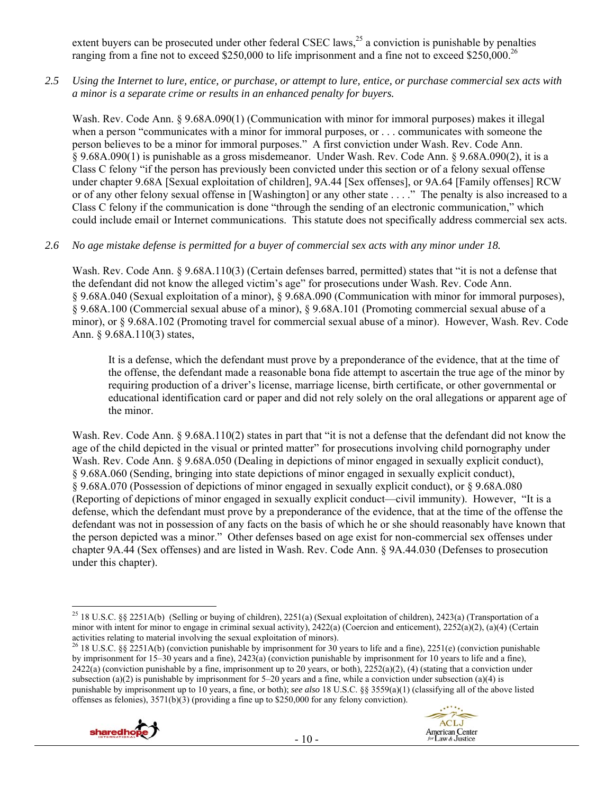extent buyers can be prosecuted under other federal CSEC laws,<sup>25</sup> a conviction is punishable by penalties ranging from a fine not to exceed \$250,000 to life imprisonment and a fine not to exceed \$250,000.<sup>26</sup>

*2.5 Using the Internet to lure, entice, or purchase, or attempt to lure, entice, or purchase commercial sex acts with a minor is a separate crime or results in an enhanced penalty for buyers.* 

Wash. Rev. Code Ann. § 9.68A.090(1) (Communication with minor for immoral purposes) makes it illegal when a person "communicates with a minor for immoral purposes, or . . . communicates with someone the person believes to be a minor for immoral purposes." A first conviction under Wash. Rev. Code Ann. § 9.68A.090(1) is punishable as a gross misdemeanor. Under Wash. Rev. Code Ann. § 9.68A.090(2), it is a Class C felony "if the person has previously been convicted under this section or of a felony sexual offense under chapter 9.68A [Sexual exploitation of children], 9A.44 [Sex offenses], or 9A.64 [Family offenses] RCW or of any other felony sexual offense in [Washington] or any other state . . . ." The penalty is also increased to a Class C felony if the communication is done "through the sending of an electronic communication," which could include email or Internet communications. This statute does not specifically address commercial sex acts.

#### *2.6 No age mistake defense is permitted for a buyer of commercial sex acts with any minor under 18.*

Wash. Rev. Code Ann. § 9.68A.110(3) (Certain defenses barred, permitted) states that "it is not a defense that the defendant did not know the alleged victim's age" for prosecutions under Wash. Rev. Code Ann. § 9.68A.040 (Sexual exploitation of a minor), § 9.68A.090 (Communication with minor for immoral purposes), § 9.68A.100 (Commercial sexual abuse of a minor), § 9.68A.101 (Promoting commercial sexual abuse of a minor), or § 9.68A.102 (Promoting travel for commercial sexual abuse of a minor). However, Wash. Rev. Code Ann. § 9.68A.110(3) states,

It is a defense, which the defendant must prove by a preponderance of the evidence, that at the time of the offense, the defendant made a reasonable bona fide attempt to ascertain the true age of the minor by requiring production of a driver's license, marriage license, birth certificate, or other governmental or educational identification card or paper and did not rely solely on the oral allegations or apparent age of the minor.

Wash. Rev. Code Ann. § 9.68A.110(2) states in part that "it is not a defense that the defendant did not know the age of the child depicted in the visual or printed matter" for prosecutions involving child pornography under Wash. Rev. Code Ann. § 9.68A.050 (Dealing in depictions of minor engaged in sexually explicit conduct), § 9.68A.060 (Sending, bringing into state depictions of minor engaged in sexually explicit conduct), § 9.68A.070 (Possession of depictions of minor engaged in sexually explicit conduct), or § 9.68A.080 (Reporting of depictions of minor engaged in sexually explicit conduct—civil immunity). However, "It is a defense, which the defendant must prove by a preponderance of the evidence, that at the time of the offense the defendant was not in possession of any facts on the basis of which he or she should reasonably have known that the person depicted was a minor." Other defenses based on age exist for non-commercial sex offenses under chapter 9A.44 (Sex offenses) and are listed in Wash. Rev. Code Ann. § 9A.44.030 (Defenses to prosecution under this chapter).

<sup>&</sup>lt;sup>26</sup> 18 U.S.C. §§ 2251A(b) (conviction punishable by imprisonment for 30 years to life and a fine), 2251(e) (conviction punishable by imprisonment for 15–30 years and a fine), 2423(a) (conviction punishable by imprisonment for 10 years to life and a fine),  $2422(a)$  (conviction punishable by a fine, imprisonment up to 20 years, or both),  $2252(a)(2)$ , (4) (stating that a conviction under subsection (a)(2) is punishable by imprisonment for  $5-20$  years and a fine, while a conviction under subsection (a)(4) is punishable by imprisonment up to 10 years, a fine, or both); *see also* 18 U.S.C. §§ 3559(a)(1) (classifying all of the above listed offenses as felonies), 3571(b)(3) (providing a fine up to \$250,000 for any felony conviction).



-7. **ACLJ** 

**American Center** for Law & Justice



 $\overline{a}$ <sup>25</sup> 18 U.S.C. §§ 2251A(b) (Selling or buying of children), 2251(a) (Sexual exploitation of children), 2423(a) (Transportation of a minor with intent for minor to engage in criminal sexual activity),  $2422(a)$  (Coercion and enticement),  $2252(a)(2)$ ,  $(a)(4)$  (Certain activities relating to material involving the sexual exploitation of minors).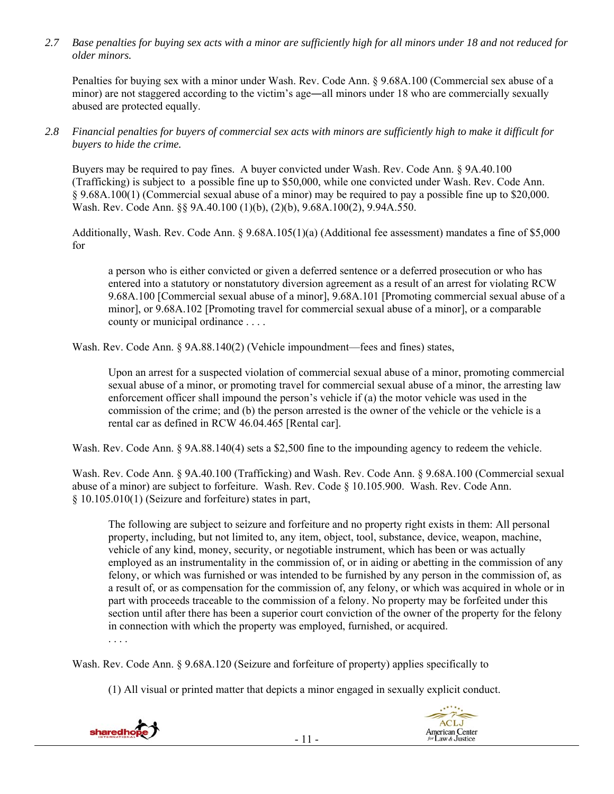*2.7 Base penalties for buying sex acts with a minor are sufficiently high for all minors under 18 and not reduced for older minors.* 

Penalties for buying sex with a minor under Wash. Rev. Code Ann. § 9.68A.100 (Commercial sex abuse of a minor) are not staggered according to the victim's age―all minors under 18 who are commercially sexually abused are protected equally.

## *2.8 Financial penalties for buyers of commercial sex acts with minors are sufficiently high to make it difficult for buyers to hide the crime.*

Buyers may be required to pay fines. A buyer convicted under Wash. Rev. Code Ann. § 9A.40.100 (Trafficking) is subject to a possible fine up to \$50,000, while one convicted under Wash. Rev. Code Ann. § 9.68A.100(1) (Commercial sexual abuse of a minor) may be required to pay a possible fine up to \$20,000. Wash. Rev. Code Ann. §§ 9A.40.100 (1)(b), (2)(b), 9.68A.100(2), 9.94A.550.

Additionally, Wash. Rev. Code Ann. § 9.68A.105(1)(a) (Additional fee assessment) mandates a fine of \$5,000 for

a person who is either convicted or given a deferred sentence or a deferred prosecution or who has entered into a statutory or nonstatutory diversion agreement as a result of an arrest for violating RCW 9.68A.100 [Commercial sexual abuse of a minor], 9.68A.101 [Promoting commercial sexual abuse of a minor], or 9.68A.102 [Promoting travel for commercial sexual abuse of a minor], or a comparable county or municipal ordinance . . . .

Wash. Rev. Code Ann. § 9A.88.140(2) (Vehicle impoundment—fees and fines) states,

Upon an arrest for a suspected violation of commercial sexual abuse of a minor, promoting commercial sexual abuse of a minor, or promoting travel for commercial sexual abuse of a minor, the arresting law enforcement officer shall impound the person's vehicle if (a) the motor vehicle was used in the commission of the crime; and (b) the person arrested is the owner of the vehicle or the vehicle is a rental car as defined in RCW 46.04.465 [Rental car].

Wash. Rev. Code Ann. § 9A.88.140(4) sets a \$2,500 fine to the impounding agency to redeem the vehicle.

Wash. Rev. Code Ann. § 9A.40.100 (Trafficking) and Wash. Rev. Code Ann. § 9.68A.100 (Commercial sexual abuse of a minor) are subject to forfeiture. Wash. Rev. Code § 10.105.900. Wash. Rev. Code Ann. § 10.105.010(1) (Seizure and forfeiture) states in part,

The following are subject to seizure and forfeiture and no property right exists in them: All personal property, including, but not limited to, any item, object, tool, substance, device, weapon, machine, vehicle of any kind, money, security, or negotiable instrument, which has been or was actually employed as an instrumentality in the commission of, or in aiding or abetting in the commission of any felony, or which was furnished or was intended to be furnished by any person in the commission of, as a result of, or as compensation for the commission of, any felony, or which was acquired in whole or in part with proceeds traceable to the commission of a felony. No property may be forfeited under this section until after there has been a superior court conviction of the owner of the property for the felony in connection with which the property was employed, furnished, or acquired.

. . . .

Wash. Rev. Code Ann. § 9.68A.120 (Seizure and forfeiture of property) applies specifically to

(1) All visual or printed matter that depicts a minor engaged in sexually explicit conduct.

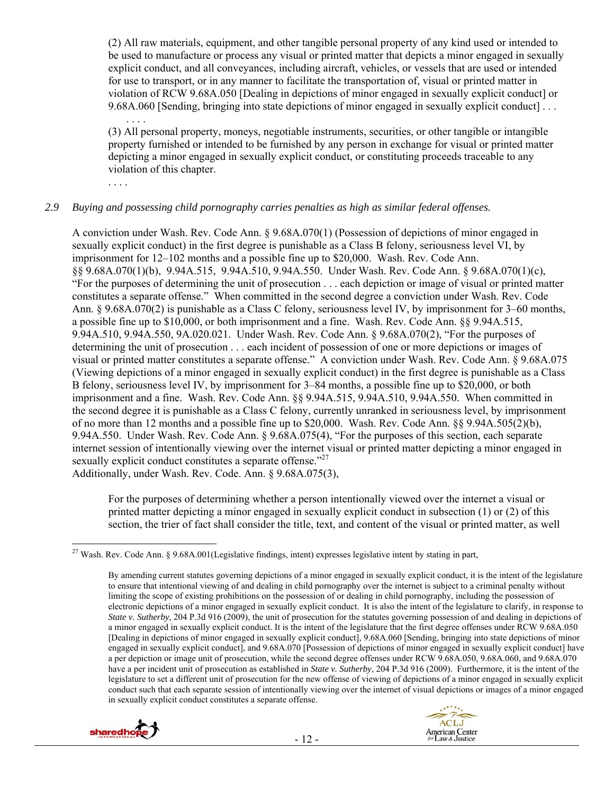(2) All raw materials, equipment, and other tangible personal property of any kind used or intended to be used to manufacture or process any visual or printed matter that depicts a minor engaged in sexually explicit conduct, and all conveyances, including aircraft, vehicles, or vessels that are used or intended for use to transport, or in any manner to facilitate the transportation of, visual or printed matter in violation of RCW 9.68A.050 [Dealing in depictions of minor engaged in sexually explicit conduct] or 9.68A.060 [Sending, bringing into state depictions of minor engaged in sexually explicit conduct] . . .

(3) All personal property, moneys, negotiable instruments, securities, or other tangible or intangible property furnished or intended to be furnished by any person in exchange for visual or printed matter depicting a minor engaged in sexually explicit conduct, or constituting proceeds traceable to any violation of this chapter.

. . . .

. . . .

#### *2.9 Buying and possessing child pornography carries penalties as high as similar federal offenses.*

A conviction under Wash. Rev. Code Ann. § 9.68A.070(1) (Possession of depictions of minor engaged in sexually explicit conduct) in the first degree is punishable as a Class B felony, seriousness level VI, by imprisonment for 12–102 months and a possible fine up to \$20,000. Wash. Rev. Code Ann. §§ 9.68A.070(1)(b), 9.94A.515, 9.94A.510, 9.94A.550. Under Wash. Rev. Code Ann. § 9.68A.070(1)(c), "For the purposes of determining the unit of prosecution . . . each depiction or image of visual or printed matter constitutes a separate offense." When committed in the second degree a conviction under Wash. Rev. Code Ann. § 9.68A.070(2) is punishable as a Class C felony, seriousness level IV, by imprisonment for 3–60 months, a possible fine up to \$10,000, or both imprisonment and a fine. Wash. Rev. Code Ann. §§ 9.94A.515, 9.94A.510, 9.94A.550, 9A.020.021. Under Wash. Rev. Code Ann. § 9.68A.070(2), "For the purposes of determining the unit of prosecution . . . each incident of possession of one or more depictions or images of visual or printed matter constitutes a separate offense." A conviction under Wash. Rev. Code Ann. § 9.68A.075 (Viewing depictions of a minor engaged in sexually explicit conduct) in the first degree is punishable as a Class B felony, seriousness level IV, by imprisonment for 3–84 months, a possible fine up to \$20,000, or both imprisonment and a fine. Wash. Rev. Code Ann. §§ 9.94A.515, 9.94A.510, 9.94A.550. When committed in the second degree it is punishable as a Class C felony, currently unranked in seriousness level, by imprisonment of no more than 12 months and a possible fine up to \$20,000. Wash. Rev. Code Ann. §§ 9.94A.505(2)(b), 9.94A.550. Under Wash. Rev. Code Ann. § 9.68A.075(4), "For the purposes of this section, each separate internet session of intentionally viewing over the internet visual or printed matter depicting a minor engaged in sexually explicit conduct constitutes a separate offense."<sup>27</sup> Additionally, under Wash. Rev. Code. Ann. § 9.68A.075(3),

For the purposes of determining whether a person intentionally viewed over the internet a visual or printed matter depicting a minor engaged in sexually explicit conduct in subsection (1) or (2) of this section, the trier of fact shall consider the title, text, and content of the visual or printed matter, as well

By amending current statutes governing depictions of a minor engaged in sexually explicit conduct, it is the intent of the legislature to ensure that intentional viewing of and dealing in child pornography over the internet is subject to a criminal penalty without limiting the scope of existing prohibitions on the possession of or dealing in child pornography, including the possession of electronic depictions of a minor engaged in sexually explicit conduct. It is also the intent of the legislature to clarify, in response to *State v. Sutherby*, 204 P.3d 916 (2009), the unit of prosecution for the statutes governing possession of and dealing in depictions of a minor engaged in sexually explicit conduct. It is the intent of the legislature that the first degree offenses under RCW 9.68A.050 [Dealing in depictions of minor engaged in sexually explicit conduct], 9.68A.060 [Sending, bringing into state depictions of minor engaged in sexually explicit conduct], and 9.68A.070 [Possession of depictions of minor engaged in sexually explicit conduct] have a per depiction or image unit of prosecution, while the second degree offenses under RCW 9.68A.050, 9.68A.060, and 9.68A.070 have a per incident unit of prosecution as established in *State v. Sutherby*, 204 P.3d 916 (2009). Furthermore, it is the intent of the legislature to set a different unit of prosecution for the new offense of viewing of depictions of a minor engaged in sexually explicit conduct such that each separate session of intentionally viewing over the internet of visual depictions or images of a minor engaged in sexually explicit conduct constitutes a separate offense.





<sup>&</sup>lt;sup>27</sup> Wash. Rev. Code Ann. § 9.68A.001(Legislative findings, intent) expresses legislative intent by stating in part,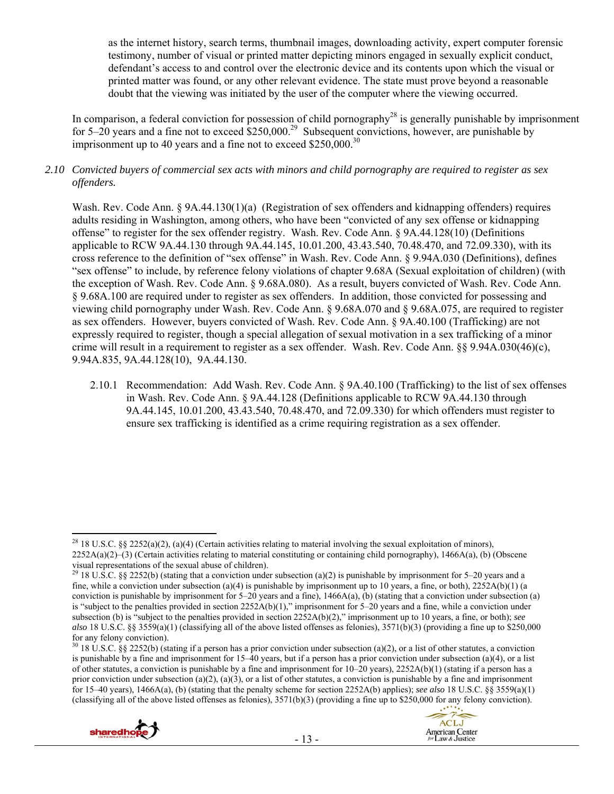as the internet history, search terms, thumbnail images, downloading activity, expert computer forensic testimony, number of visual or printed matter depicting minors engaged in sexually explicit conduct, defendant's access to and control over the electronic device and its contents upon which the visual or printed matter was found, or any other relevant evidence. The state must prove beyond a reasonable doubt that the viewing was initiated by the user of the computer where the viewing occurred.

In comparison, a federal conviction for possession of child pornography<sup>28</sup> is generally punishable by imprisonment for 5–20 years and a fine not to exceed \$250,000.<sup>29</sup> Subsequent convictions, however, are punishable by imprisonment up to 40 years and a fine not to exceed  $$250,000.<sup>30</sup>$ 

#### *2.10 Convicted buyers of commercial sex acts with minors and child pornography are required to register as sex offenders.*

Wash. Rev. Code Ann. § 9A.44.130(1)(a) (Registration of sex offenders and kidnapping offenders) requires adults residing in Washington, among others, who have been "convicted of any sex offense or kidnapping offense" to register for the sex offender registry. Wash. Rev. Code Ann. § 9A.44.128(10) (Definitions applicable to RCW 9A.44.130 through 9A.44.145, 10.01.200, 43.43.540, 70.48.470, and 72.09.330), with its cross reference to the definition of "sex offense" in Wash. Rev. Code Ann. § 9.94A.030 (Definitions), defines "sex offense" to include, by reference felony violations of chapter 9.68A (Sexual exploitation of children) (with the exception of Wash. Rev. Code Ann. § 9.68A.080). As a result, buyers convicted of Wash. Rev. Code Ann. § 9.68A.100 are required under to register as sex offenders. In addition, those convicted for possessing and viewing child pornography under Wash. Rev. Code Ann. § 9.68A.070 and § 9.68A.075, are required to register as sex offenders. However, buyers convicted of Wash. Rev. Code Ann. § 9A.40.100 (Trafficking) are not expressly required to register, though a special allegation of sexual motivation in a sex trafficking of a minor crime will result in a requirement to register as a sex offender. Wash. Rev. Code Ann. §§ 9.94A.030(46)(c), 9.94A.835, 9A.44.128(10), 9A.44.130.

2.10.1 Recommendation: Add Wash. Rev. Code Ann. § 9A.40.100 (Trafficking) to the list of sex offenses in Wash. Rev. Code Ann. § 9A.44.128 (Definitions applicable to RCW 9A.44.130 through 9A.44.145, 10.01.200, 43.43.540, 70.48.470, and 72.09.330) for which offenders must register to ensure sex trafficking is identified as a crime requiring registration as a sex offender.

 $30\,18\,$  U.S.C. §§ 2252(b) (stating if a person has a prior conviction under subsection (a)(2), or a list of other statutes, a conviction is punishable by a fine and imprisonment for  $15-40$  years, but if a person has a prior conviction under subsection (a)(4), or a list of other statutes, a conviction is punishable by a fine and imprisonment for  $10-20$  years),  $2252A(b)(1)$  (stating if a person has a prior conviction under subsection (a)(2), (a)(3), or a list of other statutes, a conviction is punishable by a fine and imprisonment for 15–40 years), 1466A(a), (b) (stating that the penalty scheme for section 2252A(b) applies); *see also* 18 U.S.C. §§ 3559(a)(1) (classifying all of the above listed offenses as felonies), 3571(b)(3) (providing a fine up to \$250,000 for any felony conviction).





<sup>&</sup>lt;sup>28</sup> 18 U.S.C. §§ 2252(a)(2), (a)(4) (Certain activities relating to material involving the sexual exploitation of minors), 2252A(a)(2)–(3) (Certain activities relating to material constituting or containing child pornography), 1466A(a), (b) (Obscene visual representations of the sexual abuse of children).

<sup>&</sup>lt;sup>29</sup> 18 U.S.C. §§ 2252(b) (stating that a conviction under subsection (a)(2) is punishable by imprisonment for 5–20 years and a fine, while a conviction under subsection (a)(4) is punishable by imprisonment up to 10 years, a fine, or both),  $2252A(b)(1)$  (a conviction is punishable by imprisonment for  $5-20$  years and a fine), 1466A(a), (b) (stating that a conviction under subsection (a) is "subject to the penalties provided in section  $2252A(b)(1)$ ," imprisonment for 5–20 years and a fine, while a conviction under subsection (b) is "subject to the penalties provided in section 2252A(b)(2)," imprisonment up to 10 years, a fine, or both); *see also* 18 U.S.C. §§ 3559(a)(1) (classifying all of the above listed offenses as felonies), 3571(b)(3) (providing a fine up to \$250,000 for any felony conviction).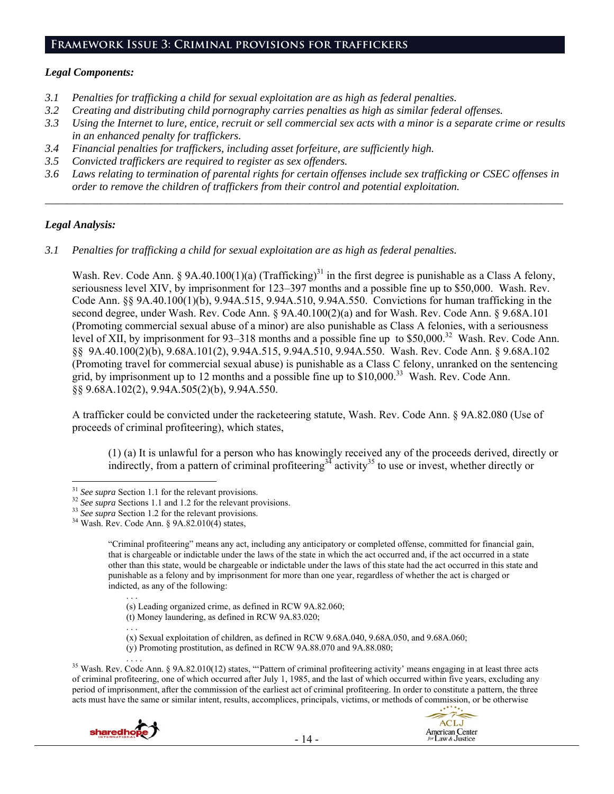## **Framework Issue 3: Criminal provisions for traffickers**

#### *Legal Components:*

- *3.1 Penalties for trafficking a child for sexual exploitation are as high as federal penalties.*
- *3.2 Creating and distributing child pornography carries penalties as high as similar federal offenses.*
- *3.3 Using the Internet to lure, entice, recruit or sell commercial sex acts with a minor is a separate crime or results in an enhanced penalty for traffickers.*
- *3.4 Financial penalties for traffickers, including asset forfeiture, are sufficiently high.*
- *3.5 Convicted traffickers are required to register as sex offenders.*
- *3.6 Laws relating to termination of parental rights for certain offenses include sex trafficking or CSEC offenses in order to remove the children of traffickers from their control and potential exploitation.*

*\_\_\_\_\_\_\_\_\_\_\_\_\_\_\_\_\_\_\_\_\_\_\_\_\_\_\_\_\_\_\_\_\_\_\_\_\_\_\_\_\_\_\_\_\_\_\_\_\_\_\_\_\_\_\_\_\_\_\_\_\_\_\_\_\_\_\_\_\_\_\_\_\_\_\_\_\_\_\_\_\_\_\_\_\_\_\_\_\_\_\_\_\_\_* 

#### *Legal Analysis:*

*3.1 Penalties for trafficking a child for sexual exploitation are as high as federal penalties.* 

Wash. Rev. Code Ann. § 9A.40.100(1)(a) (Trafficking)<sup>31</sup> in the first degree is punishable as a Class A felony, seriousness level XIV, by imprisonment for 123–397 months and a possible fine up to \$50,000. Wash. Rev. Code Ann. §§ 9A.40.100(1)(b), 9.94A.515, 9.94A.510, 9.94A.550. Convictions for human trafficking in the second degree, under Wash. Rev. Code Ann. § 9A.40.100(2)(a) and for Wash. Rev. Code Ann. § 9.68A.101 (Promoting commercial sexual abuse of a minor) are also punishable as Class A felonies, with a seriousness level of XII, by imprisonment for 93–318 months and a possible fine up to \$50,000.<sup>32</sup> Wash. Rev. Code Ann. §§ 9A.40.100(2)(b), 9.68A.101(2), 9.94A.515, 9.94A.510, 9.94A.550. Wash. Rev. Code Ann. § 9.68A.102 (Promoting travel for commercial sexual abuse) is punishable as a Class C felony, unranked on the sentencing grid, by imprisonment up to 12 months and a possible fine up to  $$10,000$ .<sup>33</sup> Wash. Rev. Code Ann. §§ 9.68A.102(2), 9.94A.505(2)(b), 9.94A.550.

A trafficker could be convicted under the racketeering statute, Wash. Rev. Code Ann. § 9A.82.080 (Use of proceeds of criminal profiteering), which states,

(1) (a) It is unlawful for a person who has knowingly received any of the proceeds derived, directly or indirectly, from a pattern of criminal profiteering<sup>34</sup> activity<sup>35</sup> to use or invest, whether directly or

(s) Leading organized crime, as defined in RCW 9A.82.060;

. . . (x) Sexual exploitation of children, as defined in RCW 9.68A.040, 9.68A.050, and 9.68A.060;

<sup>&</sup>lt;sup>35</sup> Wash. Rev. Code Ann. § 9A.82.010(12) states, "Pattern of criminal profiteering activity' means engaging in at least three acts of criminal profiteering, one of which occurred after July 1, 1985, and the last of which occurred within five years, excluding any period of imprisonment, after the commission of the earliest act of criminal profiteering. In order to constitute a pattern, the three acts must have the same or similar intent, results, accomplices, principals, victims, or methods of commission, or be otherwise



. . .



 $31$  See supra Section 1.1 for the relevant provisions.

<sup>&</sup>lt;sup>32</sup> See supra Sections 1.1 and 1.2 for the relevant provisions.<br><sup>33</sup> See supra Section 1.2 for the relevant provisions.<br><sup>34</sup> Wash. Rev. Code Ann. § 9A.82.010(4) states.

<sup>&</sup>quot;Criminal profiteering" means any act, including any anticipatory or completed offense, committed for financial gain, that is chargeable or indictable under the laws of the state in which the act occurred and, if the act occurred in a state other than this state, would be chargeable or indictable under the laws of this state had the act occurred in this state and punishable as a felony and by imprisonment for more than one year, regardless of whether the act is charged or indicted, as any of the following:

<sup>(</sup>t) Money laundering, as defined in RCW 9A.83.020;

<sup>(</sup>y) Promoting prostitution, as defined in RCW 9A.88.070 and 9A.88.080;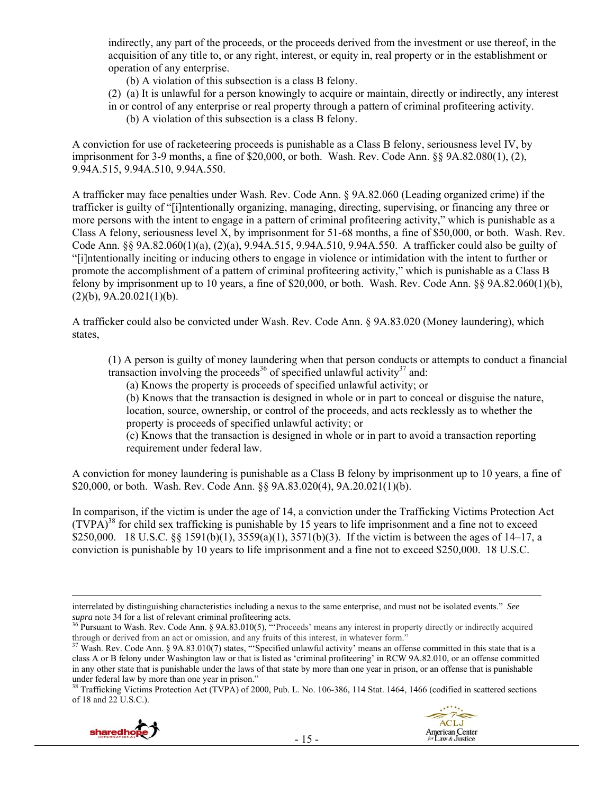indirectly, any part of the proceeds, or the proceeds derived from the investment or use thereof, in the acquisition of any title to, or any right, interest, or equity in, real property or in the establishment or operation of any enterprise.

(b) A violation of this subsection is a class B felony.

(2) (a) It is unlawful for a person knowingly to acquire or maintain, directly or indirectly, any interest in or control of any enterprise or real property through a pattern of criminal profiteering activity.

(b) A violation of this subsection is a class B felony.

A conviction for use of racketeering proceeds is punishable as a Class B felony, seriousness level IV, by imprisonment for 3-9 months, a fine of \$20,000, or both. Wash. Rev. Code Ann. §§ 9A.82.080(1), (2), 9.94A.515, 9.94A.510, 9.94A.550.

A trafficker may face penalties under Wash. Rev. Code Ann. § 9A.82.060 (Leading organized crime) if the trafficker is guilty of "[i]ntentionally organizing, managing, directing, supervising, or financing any three or more persons with the intent to engage in a pattern of criminal profiteering activity," which is punishable as a Class A felony, seriousness level X, by imprisonment for 51-68 months, a fine of \$50,000, or both. Wash. Rev. Code Ann. §§ 9A.82.060(1)(a), (2)(a), 9.94A.515, 9.94A.510, 9.94A.550. A trafficker could also be guilty of "[i]ntentionally inciting or inducing others to engage in violence or intimidation with the intent to further or promote the accomplishment of a pattern of criminal profiteering activity," which is punishable as a Class B felony by imprisonment up to 10 years, a fine of \$20,000, or both. Wash. Rev. Code Ann. §§ 9A.82.060(1)(b),  $(2)(b)$ ,  $9A.20.021(1)(b)$ .

A trafficker could also be convicted under Wash. Rev. Code Ann. § 9A.83.020 (Money laundering), which states,

(1) A person is guilty of money laundering when that person conducts or attempts to conduct a financial transaction involving the proceeds<sup>36</sup> of specified unlawful activity<sup>37</sup> and:

(a) Knows the property is proceeds of specified unlawful activity; or

(b) Knows that the transaction is designed in whole or in part to conceal or disguise the nature, location, source, ownership, or control of the proceeds, and acts recklessly as to whether the property is proceeds of specified unlawful activity; or

(c) Knows that the transaction is designed in whole or in part to avoid a transaction reporting requirement under federal law.

A conviction for money laundering is punishable as a Class B felony by imprisonment up to 10 years, a fine of \$20,000, or both. Wash. Rev. Code Ann. §§ 9A.83.020(4), 9A.20.021(1)(b).

In comparison, if the victim is under the age of 14, a conviction under the Trafficking Victims Protection Act  $(TVPA)^{38}$  for child sex trafficking is punishable by 15 years to life imprisonment and a fine not to exceed \$250,000. 18 U.S.C. §§ 1591(b)(1), 3559(a)(1), 3571(b)(3). If the victim is between the ages of 14–17, a conviction is punishable by 10 years to life imprisonment and a fine not to exceed \$250,000. 18 U.S.C.

<sup>38</sup> Trafficking Victims Protection Act (TVPA) of 2000, Pub. L. No. 106-386, 114 Stat. 1464, 1466 (codified in scattered sections of 18 and 22 U.S.C.).



interrelated by distinguishing characteristics including a nexus to the same enterprise, and must not be isolated events." *See* 

<sup>&</sup>lt;sup>36</sup> Pursuant to Wash. Rev. Code Ann. § 9A.83.010(5), "'Proceeds' means any interest in property directly or indirectly acquired through or derived from an act or omission, and any fruits of this interest, in whatever form." Wash. Rev. Code Ann. § 9A.83.010(7) states, "'Specified unlawful activity' means an offense committed in this state that is a

class A or B felony under Washington law or that is listed as 'criminal profiteering' in RCW 9A.82.010, or an offense committed in any other state that is punishable under the laws of that state by more than one year in prison, or an offense that is punishable under federal law by more than one year in prison."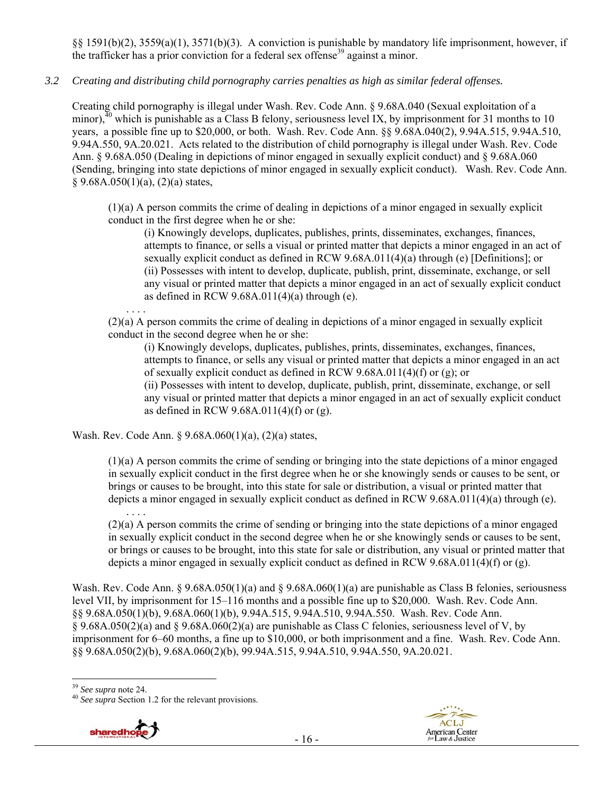§§ 1591(b)(2), 3559(a)(1), 3571(b)(3). A conviction is punishable by mandatory life imprisonment, however, if the trafficker has a prior conviction for a federal sex offense<sup>39</sup> against a minor.

## *3.2 Creating and distributing child pornography carries penalties as high as similar federal offenses.*

Creating child pornography is illegal under Wash. Rev. Code Ann. § 9.68A.040 (Sexual exploitation of a minor),<sup> $40$ </sup> which is punishable as a Class B felony, seriousness level IX, by imprisonment for 31 months to 10 years, a possible fine up to \$20,000, or both. Wash. Rev. Code Ann. §§ 9.68A.040(2), 9.94A.515, 9.94A.510, 9.94A.550, 9A.20.021. Acts related to the distribution of child pornography is illegal under Wash. Rev. Code Ann. § 9.68A.050 (Dealing in depictions of minor engaged in sexually explicit conduct) and § 9.68A.060 (Sending, bringing into state depictions of minor engaged in sexually explicit conduct). Wash. Rev. Code Ann.  $§ 9.68A.050(1)(a), (2)(a) states,$ 

(1)(a) A person commits the crime of dealing in depictions of a minor engaged in sexually explicit conduct in the first degree when he or she:

(i) Knowingly develops, duplicates, publishes, prints, disseminates, exchanges, finances, attempts to finance, or sells a visual or printed matter that depicts a minor engaged in an act of sexually explicit conduct as defined in RCW 9.68A.011(4)(a) through (e) [Definitions]; or (ii) Possesses with intent to develop, duplicate, publish, print, disseminate, exchange, or sell any visual or printed matter that depicts a minor engaged in an act of sexually explicit conduct as defined in RCW  $9.68A.011(4)(a)$  through (e).

. . . . (2)(a) A person commits the crime of dealing in depictions of a minor engaged in sexually explicit conduct in the second degree when he or she:

(i) Knowingly develops, duplicates, publishes, prints, disseminates, exchanges, finances, attempts to finance, or sells any visual or printed matter that depicts a minor engaged in an act of sexually explicit conduct as defined in RCW 9.68A.011(4)(f) or (g); or

(ii) Possesses with intent to develop, duplicate, publish, print, disseminate, exchange, or sell any visual or printed matter that depicts a minor engaged in an act of sexually explicit conduct as defined in RCW 9.68A.011(4)(f) or (g).

Wash. Rev. Code Ann. § 9.68A.060(1)(a), (2)(a) states,

(1)(a) A person commits the crime of sending or bringing into the state depictions of a minor engaged in sexually explicit conduct in the first degree when he or she knowingly sends or causes to be sent, or brings or causes to be brought, into this state for sale or distribution, a visual or printed matter that depicts a minor engaged in sexually explicit conduct as defined in RCW 9.68A.011(4)(a) through (e).

. . . . (2)(a) A person commits the crime of sending or bringing into the state depictions of a minor engaged in sexually explicit conduct in the second degree when he or she knowingly sends or causes to be sent, or brings or causes to be brought, into this state for sale or distribution, any visual or printed matter that depicts a minor engaged in sexually explicit conduct as defined in RCW 9.68A.011(4)(f) or (g).

Wash. Rev. Code Ann. §  $9.68A.050(1)(a)$  and §  $9.68A.060(1)(a)$  are punishable as Class B felonies, seriousness level VII, by imprisonment for 15–116 months and a possible fine up to \$20,000. Wash. Rev. Code Ann. §§ 9.68A.050(1)(b), 9.68A.060(1)(b), 9.94A.515, 9.94A.510, 9.94A.550. Wash. Rev. Code Ann. § 9.68A.050(2)(a) and § 9.68A.060(2)(a) are punishable as Class C felonies, seriousness level of V, by imprisonment for 6–60 months, a fine up to \$10,000, or both imprisonment and a fine. Wash. Rev. Code Ann. §§ 9.68A.050(2)(b), 9.68A.060(2)(b), 99.94A.515, 9.94A.510, 9.94A.550, 9A.20.021.

<sup>39</sup> See supra note 24.

<sup>&</sup>lt;sup>40</sup> *See supra* Section 1.2 for the relevant provisions.



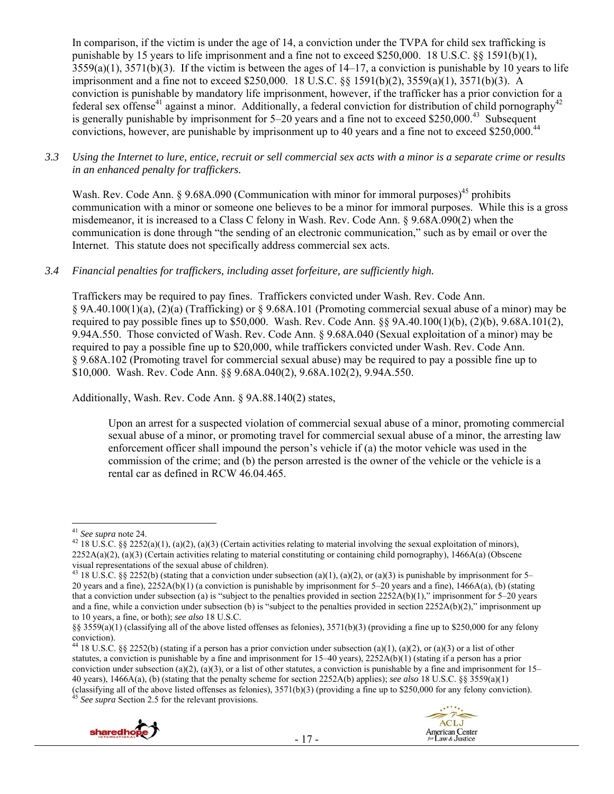In comparison, if the victim is under the age of 14, a conviction under the TVPA for child sex trafficking is punishable by 15 years to life imprisonment and a fine not to exceed \$250,000. 18 U.S.C. §§ 1591(b)(1),  $3559(a)(1)$ ,  $3571(b)(3)$ . If the victim is between the ages of  $14-17$ , a conviction is punishable by 10 years to life imprisonment and a fine not to exceed \$250,000. 18 U.S.C. §§ 1591(b)(2), 3559(a)(1), 3571(b)(3). A conviction is punishable by mandatory life imprisonment, however, if the trafficker has a prior conviction for a federal sex offense<sup>41</sup> against a minor. Additionally, a federal conviction for distribution of child pornography<sup>42</sup> is generally punishable by imprisonment for  $5-20$  years and a fine not to exceed \$250,000.<sup>43</sup> Subsequent convictions, however, are punishable by imprisonment up to 40 years and a fine not to exceed \$250,000.<sup>44</sup>

*3.3 Using the Internet to lure, entice, recruit or sell commercial sex acts with a minor is a separate crime or results in an enhanced penalty for traffickers.* 

Wash. Rev. Code Ann. § 9.68A.090 (Communication with minor for immoral purposes)<sup>45</sup> prohibits communication with a minor or someone one believes to be a minor for immoral purposes. While this is a gross misdemeanor, it is increased to a Class C felony in Wash. Rev. Code Ann. § 9.68A.090(2) when the communication is done through "the sending of an electronic communication," such as by email or over the Internet. This statute does not specifically address commercial sex acts.

## *3.4 Financial penalties for traffickers, including asset forfeiture, are sufficiently high.*

Traffickers may be required to pay fines. Traffickers convicted under Wash. Rev. Code Ann. § 9A.40.100(1)(a), (2)(a) (Trafficking) or § 9.68A.101 (Promoting commercial sexual abuse of a minor) may be required to pay possible fines up to \$50,000. Wash. Rev. Code Ann. §§ 9A.40.100(1)(b), (2)(b), 9.68A.101(2), 9.94A.550. Those convicted of Wash. Rev. Code Ann. § 9.68A.040 (Sexual exploitation of a minor) may be required to pay a possible fine up to \$20,000, while traffickers convicted under Wash. Rev. Code Ann. § 9.68A.102 (Promoting travel for commercial sexual abuse) may be required to pay a possible fine up to \$10,000. Wash. Rev. Code Ann. §§ 9.68A.040(2), 9.68A.102(2), 9.94A.550.

Additionally, Wash. Rev. Code Ann. § 9A.88.140(2) states,

Upon an arrest for a suspected violation of commercial sexual abuse of a minor, promoting commercial sexual abuse of a minor, or promoting travel for commercial sexual abuse of a minor, the arresting law enforcement officer shall impound the person's vehicle if (a) the motor vehicle was used in the commission of the crime; and (b) the person arrested is the owner of the vehicle or the vehicle is a rental car as defined in RCW 46.04.465.

44 18 U.S.C. §§ 2252(b) (stating if a person has a prior conviction under subsection (a)(1), (a)(2), or (a)(3) or a list of other statutes, a conviction is punishable by a fine and imprisonment for  $15-40$  years),  $2252A(b)(1)$  (stating if a person has a prior conviction under subsection (a)(2), (a)(3), or a list of other statutes, a conviction is punishable by a fine and imprisonment for  $15-$ 40 years), 1466A(a), (b) (stating that the penalty scheme for section 2252A(b) applies); *see also* 18 U.S.C. §§ 3559(a)(1) (classifying all of the above listed offenses as felonies), 3571(b)(3) (providing a fine up to \$250,000 for any felony conviction).<br><sup>45</sup> *See supra* Section 2.5 for the relevant provisions.



**ACLJ** 

**American Center** for Law & Justice

<sup>&</sup>lt;sup>41</sup> See supra note 24.

<sup>&</sup>lt;sup>42</sup> 18 U.S.C. §§ 2252(a)(1), (a)(2), (a)(3) (Certain activities relating to material involving the sexual exploitation of minors),  $2252A(a)(2)$ , (a)(3) (Certain activities relating to material constituting or containing child pornography), 1466A(a) (Obscene visual representations of the sexual abuse of children).

<sup>&</sup>lt;sup>43</sup> 18 U.S.C. §§ 2252(b) (stating that a conviction under subsection (a)(1), (a)(2), or (a)(3) is punishable by imprisonment for 5– 20 years and a fine),  $2252A(b)(1)$  (a conviction is punishable by imprisonment for 5–20 years and a fine),  $1466A(a)$ , (b) (stating that a conviction under subsection (a) is "subject to the penalties provided in section 2252A(b)(1)," imprisonment for 5–20 years and a fine, while a conviction under subsection (b) is "subject to the penalties provided in section  $2252A(b)(2)$ ," imprisonment up to 10 years, a fine, or both); *see also* 18 U.S.C.

<sup>§§ 3559(</sup>a)(1) (classifying all of the above listed offenses as felonies), 3571(b)(3) (providing a fine up to \$250,000 for any felony conviction).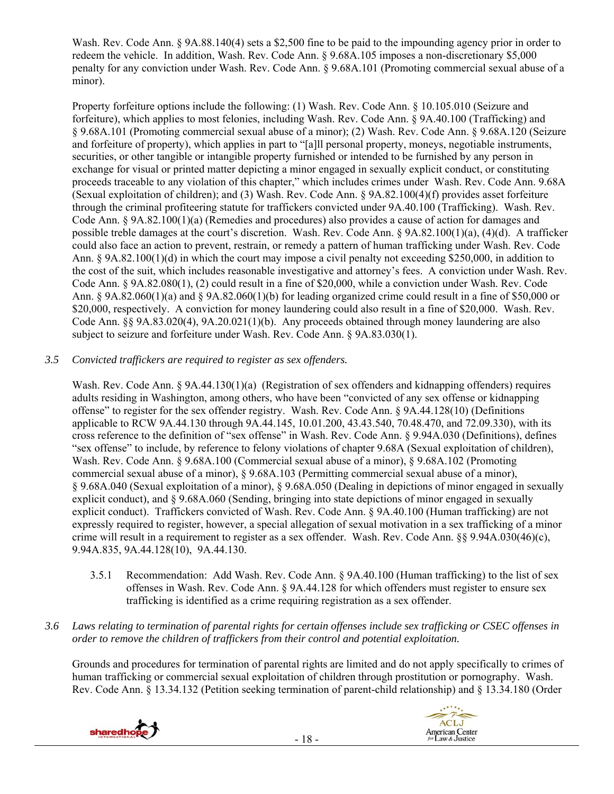Wash. Rev. Code Ann. § 9A.88.140(4) sets a \$2,500 fine to be paid to the impounding agency prior in order to redeem the vehicle. In addition, Wash. Rev. Code Ann. § 9.68A.105 imposes a non-discretionary \$5,000 penalty for any conviction under Wash. Rev. Code Ann. § 9.68A.101 (Promoting commercial sexual abuse of a minor).

Property forfeiture options include the following: (1) Wash. Rev. Code Ann. § 10.105.010 (Seizure and forfeiture), which applies to most felonies, including Wash. Rev. Code Ann. § 9A.40.100 (Trafficking) and § 9.68A.101 (Promoting commercial sexual abuse of a minor); (2) Wash. Rev. Code Ann. § 9.68A.120 (Seizure and forfeiture of property), which applies in part to "[a]ll personal property, moneys, negotiable instruments, securities, or other tangible or intangible property furnished or intended to be furnished by any person in exchange for visual or printed matter depicting a minor engaged in sexually explicit conduct, or constituting proceeds traceable to any violation of this chapter," which includes crimes under Wash. Rev. Code Ann. 9.68A (Sexual exploitation of children); and (3) Wash. Rev. Code Ann. § 9A.82.100(4)(f) provides asset forfeiture through the criminal profiteering statute for traffickers convicted under 9A.40.100 (Trafficking). Wash. Rev. Code Ann. § 9A.82.100(1)(a) (Remedies and procedures) also provides a cause of action for damages and possible treble damages at the court's discretion. Wash. Rev. Code Ann. § 9A.82.100(1)(a), (4)(d). A trafficker could also face an action to prevent, restrain, or remedy a pattern of human trafficking under Wash. Rev. Code Ann. § 9A.82.100(1)(d) in which the court may impose a civil penalty not exceeding \$250,000, in addition to the cost of the suit, which includes reasonable investigative and attorney's fees. A conviction under Wash. Rev. Code Ann. § 9A.82.080(1), (2) could result in a fine of \$20,000, while a conviction under Wash. Rev. Code Ann. § 9A.82.060(1)(a) and § 9A.82.060(1)(b) for leading organized crime could result in a fine of \$50,000 or \$20,000, respectively. A conviction for money laundering could also result in a fine of \$20,000. Wash. Rev. Code Ann. §§ 9A.83.020(4), 9A.20.021(1)(b). Any proceeds obtained through money laundering are also subject to seizure and forfeiture under Wash. Rev. Code Ann. § 9A.83.030(1).

## *3.5 Convicted traffickers are required to register as sex offenders.*

Wash. Rev. Code Ann. § 9A.44.130(1)(a) (Registration of sex offenders and kidnapping offenders) requires adults residing in Washington, among others, who have been "convicted of any sex offense or kidnapping offense" to register for the sex offender registry. Wash. Rev. Code Ann. § 9A.44.128(10) (Definitions applicable to RCW 9A.44.130 through 9A.44.145, 10.01.200, 43.43.540, 70.48.470, and 72.09.330), with its cross reference to the definition of "sex offense" in Wash. Rev. Code Ann. § 9.94A.030 (Definitions), defines "sex offense" to include, by reference to felony violations of chapter 9.68A (Sexual exploitation of children), Wash. Rev. Code Ann. § 9.68A.100 (Commercial sexual abuse of a minor), § 9.68A.102 (Promoting commercial sexual abuse of a minor), § 9.68A.103 (Permitting commercial sexual abuse of a minor), § 9.68A.040 (Sexual exploitation of a minor), § 9.68A.050 (Dealing in depictions of minor engaged in sexually explicit conduct), and § 9.68A.060 (Sending, bringing into state depictions of minor engaged in sexually explicit conduct). Traffickers convicted of Wash. Rev. Code Ann. § 9A.40.100 (Human trafficking) are not expressly required to register, however, a special allegation of sexual motivation in a sex trafficking of a minor crime will result in a requirement to register as a sex offender. Wash. Rev. Code Ann. §§ 9.94A.030(46)(c), 9.94A.835, 9A.44.128(10), 9A.44.130.

- 3.5.1 Recommendation: Add Wash. Rev. Code Ann. § 9A.40.100 (Human trafficking) to the list of sex offenses in Wash. Rev. Code Ann. § 9A.44.128 for which offenders must register to ensure sex trafficking is identified as a crime requiring registration as a sex offender.
- *3.6 Laws relating to termination of parental rights for certain offenses include sex trafficking or CSEC offenses in order to remove the children of traffickers from their control and potential exploitation.*

Grounds and procedures for termination of parental rights are limited and do not apply specifically to crimes of human trafficking or commercial sexual exploitation of children through prostitution or pornography. Wash. Rev. Code Ann. § 13.34.132 (Petition seeking termination of parent-child relationship) and § 13.34.180 (Order



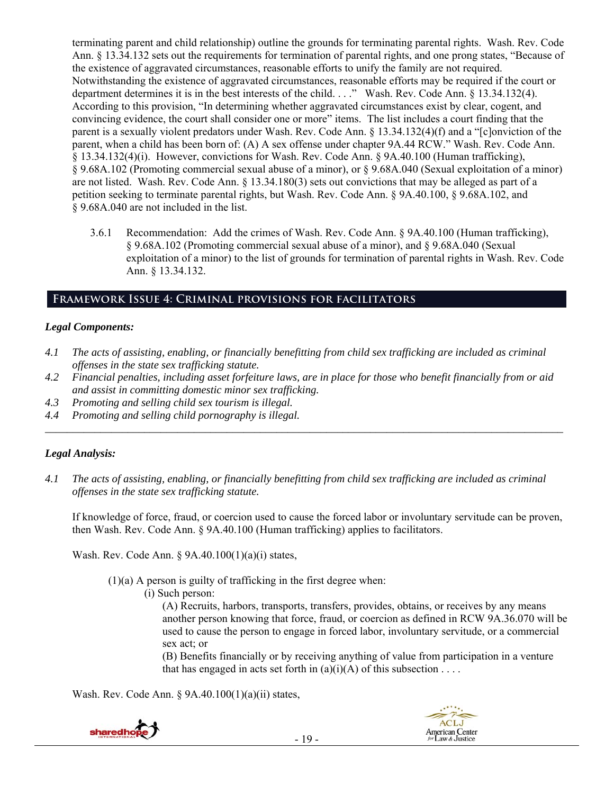terminating parent and child relationship) outline the grounds for terminating parental rights. Wash. Rev. Code Ann. § 13.34.132 sets out the requirements for termination of parental rights, and one prong states, "Because of the existence of aggravated circumstances, reasonable efforts to unify the family are not required. Notwithstanding the existence of aggravated circumstances, reasonable efforts may be required if the court or department determines it is in the best interests of the child. . . ." Wash. Rev. Code Ann. § 13.34.132(4). According to this provision, "In determining whether aggravated circumstances exist by clear, cogent, and convincing evidence, the court shall consider one or more" items. The list includes a court finding that the parent is a sexually violent predators under Wash. Rev. Code Ann. § 13.34.132(4)(f) and a "[c]onviction of the parent, when a child has been born of: (A) A sex offense under chapter 9A.44 RCW." Wash. Rev. Code Ann. § 13.34.132(4)(i). However, convictions for Wash. Rev. Code Ann. § 9A.40.100 (Human trafficking), § 9.68A.102 (Promoting commercial sexual abuse of a minor), or § 9.68A.040 (Sexual exploitation of a minor) are not listed. Wash. Rev. Code Ann. § 13.34.180(3) sets out convictions that may be alleged as part of a petition seeking to terminate parental rights, but Wash. Rev. Code Ann. § 9A.40.100, § 9.68A.102, and § 9.68A.040 are not included in the list.

3.6.1 Recommendation: Add the crimes of Wash. Rev. Code Ann. § 9A.40.100 (Human trafficking), § 9.68A.102 (Promoting commercial sexual abuse of a minor), and § 9.68A.040 (Sexual exploitation of a minor) to the list of grounds for termination of parental rights in Wash. Rev. Code Ann. § 13.34.132.

## **Framework Issue 4: Criminal provisions for facilitators**

#### *Legal Components:*

- *4.1 The acts of assisting, enabling, or financially benefitting from child sex trafficking are included as criminal offenses in the state sex trafficking statute.*
- *4.2 Financial penalties, including asset forfeiture laws, are in place for those who benefit financially from or aid and assist in committing domestic minor sex trafficking.*

*\_\_\_\_\_\_\_\_\_\_\_\_\_\_\_\_\_\_\_\_\_\_\_\_\_\_\_\_\_\_\_\_\_\_\_\_\_\_\_\_\_\_\_\_\_\_\_\_\_\_\_\_\_\_\_\_\_\_\_\_\_\_\_\_\_\_\_\_\_\_\_\_\_\_\_\_\_\_\_\_\_\_\_\_\_\_\_\_\_\_\_\_\_\_* 

- *4.3 Promoting and selling child sex tourism is illegal.*
- *4.4 Promoting and selling child pornography is illegal.*

## *Legal Analysis:*

*4.1 The acts of assisting, enabling, or financially benefitting from child sex trafficking are included as criminal offenses in the state sex trafficking statute.* 

If knowledge of force, fraud, or coercion used to cause the forced labor or involuntary servitude can be proven, then Wash. Rev. Code Ann. § 9A.40.100 (Human trafficking) applies to facilitators.

Wash. Rev. Code Ann. § 9A.40.100(1)(a)(i) states,

 $(1)(a)$  A person is guilty of trafficking in the first degree when:

(i) Such person:

(A) Recruits, harbors, transports, transfers, provides, obtains, or receives by any means another person knowing that force, fraud, or coercion as defined in RCW 9A.36.070 will be used to cause the person to engage in forced labor, involuntary servitude, or a commercial sex act; or

(B) Benefits financially or by receiving anything of value from participation in a venture that has engaged in acts set forth in  $(a)(i)(A)$  of this subsection . . . .

Wash. Rev. Code Ann. § 9A.40.100(1)(a)(ii) states,

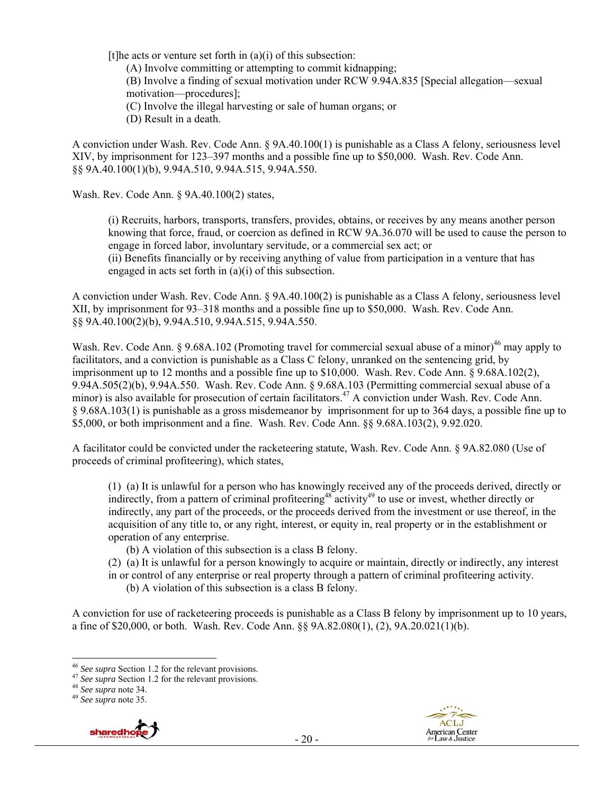[t] t] he acts or venture set forth in  $(a)(i)$  of this subsection:

(A) Involve committing or attempting to commit kidnapping;

(B) Involve a finding of sexual motivation under RCW 9.94A.835 [Special allegation—sexual motivation—procedures];

(C) Involve the illegal harvesting or sale of human organs; or

(D) Result in a death.

A conviction under Wash. Rev. Code Ann. § 9A.40.100(1) is punishable as a Class A felony, seriousness level XIV, by imprisonment for 123–397 months and a possible fine up to \$50,000. Wash. Rev. Code Ann. §§ 9A.40.100(1)(b), 9.94A.510, 9.94A.515, 9.94A.550.

Wash. Rev. Code Ann. § 9A.40.100(2) states,

(i) Recruits, harbors, transports, transfers, provides, obtains, or receives by any means another person knowing that force, fraud, or coercion as defined in RCW 9A.36.070 will be used to cause the person to engage in forced labor, involuntary servitude, or a commercial sex act; or (ii) Benefits financially or by receiving anything of value from participation in a venture that has

engaged in acts set forth in (a)(i) of this subsection.

A conviction under Wash. Rev. Code Ann. § 9A.40.100(2) is punishable as a Class A felony, seriousness level XII, by imprisonment for 93–318 months and a possible fine up to \$50,000. Wash. Rev. Code Ann. §§ 9A.40.100(2)(b), 9.94A.510, 9.94A.515, 9.94A.550.

Wash. Rev. Code Ann. § 9.68A.102 (Promoting travel for commercial sexual abuse of a minor)<sup>46</sup> may apply to facilitators, and a conviction is punishable as a Class C felony, unranked on the sentencing grid, by imprisonment up to 12 months and a possible fine up to \$10,000. Wash. Rev. Code Ann. § 9.68A.102(2), 9.94A.505(2)(b), 9.94A.550. Wash. Rev. Code Ann. § 9.68A.103 (Permitting commercial sexual abuse of a minor) is also available for prosecution of certain facilitators.<sup>47</sup> A conviction under Wash. Rev. Code Ann. § 9.68A.103(1) is punishable as a gross misdemeanor by imprisonment for up to 364 days, a possible fine up to \$5,000, or both imprisonment and a fine. Wash. Rev. Code Ann. §§ 9.68A.103(2), 9.92.020.

A facilitator could be convicted under the racketeering statute, Wash. Rev. Code Ann. § 9A.82.080 (Use of proceeds of criminal profiteering), which states,

(1) (a) It is unlawful for a person who has knowingly received any of the proceeds derived, directly or indirectly, from a pattern of criminal profiteering<sup>48</sup> activity<sup>49</sup> to use or invest, whether directly or indirectly, any part of the proceeds, or the proceeds derived from the investment or use thereof, in the acquisition of any title to, or any right, interest, or equity in, real property or in the establishment or operation of any enterprise.

- (b) A violation of this subsection is a class B felony.
- (2) (a) It is unlawful for a person knowingly to acquire or maintain, directly or indirectly, any interest
- in or control of any enterprise or real property through a pattern of criminal profiteering activity.
	- (b) A violation of this subsection is a class B felony.

A conviction for use of racketeering proceeds is punishable as a Class B felony by imprisonment up to 10 years, a fine of \$20,000, or both. Wash. Rev. Code Ann. §§ 9A.82.080(1), (2), 9A.20.021(1)(b).



<sup>&</sup>lt;sup>46</sup> See supra Section 1.2 for the relevant provisions.

<sup>&</sup>lt;sup>47</sup> See supra Section 1.2 for the relevant provisions.<br><sup>48</sup> See supra note 34. <sup>49</sup> See supra note 35.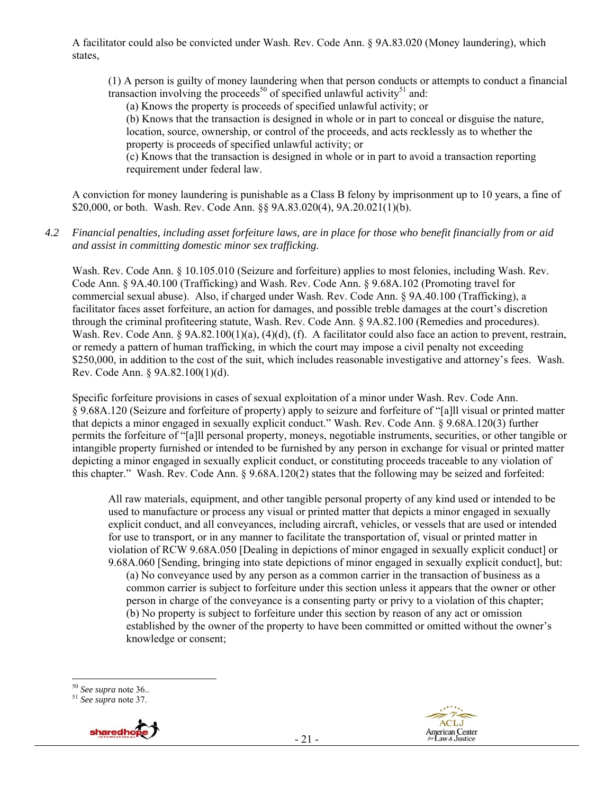A facilitator could also be convicted under Wash. Rev. Code Ann. § 9A.83.020 (Money laundering), which states,

(1) A person is guilty of money laundering when that person conducts or attempts to conduct a financial transaction involving the proceeds<sup>50</sup> of specified unlawful activity<sup>51</sup> and:

(a) Knows the property is proceeds of specified unlawful activity; or

(b) Knows that the transaction is designed in whole or in part to conceal or disguise the nature, location, source, ownership, or control of the proceeds, and acts recklessly as to whether the property is proceeds of specified unlawful activity; or

(c) Knows that the transaction is designed in whole or in part to avoid a transaction reporting requirement under federal law.

A conviction for money laundering is punishable as a Class B felony by imprisonment up to 10 years, a fine of \$20,000, or both. Wash. Rev. Code Ann. §§ 9A.83.020(4), 9A.20.021(1)(b).

*4.2 Financial penalties, including asset forfeiture laws, are in place for those who benefit financially from or aid and assist in committing domestic minor sex trafficking.* 

Wash. Rev. Code Ann. § 10.105.010 (Seizure and forfeiture) applies to most felonies, including Wash. Rev. Code Ann. § 9A.40.100 (Trafficking) and Wash. Rev. Code Ann. § 9.68A.102 (Promoting travel for commercial sexual abuse). Also, if charged under Wash. Rev. Code Ann. § 9A.40.100 (Trafficking), a facilitator faces asset forfeiture, an action for damages, and possible treble damages at the court's discretion through the criminal profiteering statute, Wash. Rev. Code Ann. § 9A.82.100 (Remedies and procedures). Wash. Rev. Code Ann. § 9A.82.100(1)(a), (4)(d), (f). A facilitator could also face an action to prevent, restrain, or remedy a pattern of human trafficking, in which the court may impose a civil penalty not exceeding \$250,000, in addition to the cost of the suit, which includes reasonable investigative and attorney's fees. Wash. Rev. Code Ann. § 9A.82.100(1)(d).

Specific forfeiture provisions in cases of sexual exploitation of a minor under Wash. Rev. Code Ann. § 9.68A.120 (Seizure and forfeiture of property) apply to seizure and forfeiture of "[a]ll visual or printed matter that depicts a minor engaged in sexually explicit conduct." Wash. Rev. Code Ann. § 9.68A.120(3) further permits the forfeiture of "[a]ll personal property, moneys, negotiable instruments, securities, or other tangible or intangible property furnished or intended to be furnished by any person in exchange for visual or printed matter depicting a minor engaged in sexually explicit conduct, or constituting proceeds traceable to any violation of this chapter." Wash. Rev. Code Ann. § 9.68A.120(2) states that the following may be seized and forfeited:

All raw materials, equipment, and other tangible personal property of any kind used or intended to be used to manufacture or process any visual or printed matter that depicts a minor engaged in sexually explicit conduct, and all conveyances, including aircraft, vehicles, or vessels that are used or intended for use to transport, or in any manner to facilitate the transportation of, visual or printed matter in violation of RCW 9.68A.050 [Dealing in depictions of minor engaged in sexually explicit conduct] or 9.68A.060 [Sending, bringing into state depictions of minor engaged in sexually explicit conduct], but:

(a) No conveyance used by any person as a common carrier in the transaction of business as a common carrier is subject to forfeiture under this section unless it appears that the owner or other person in charge of the conveyance is a consenting party or privy to a violation of this chapter; (b) No property is subject to forfeiture under this section by reason of any act or omission established by the owner of the property to have been committed or omitted without the owner's knowledge or consent;

<sup>50</sup> *See supra* note 36.. 51 *See supra* note 37.



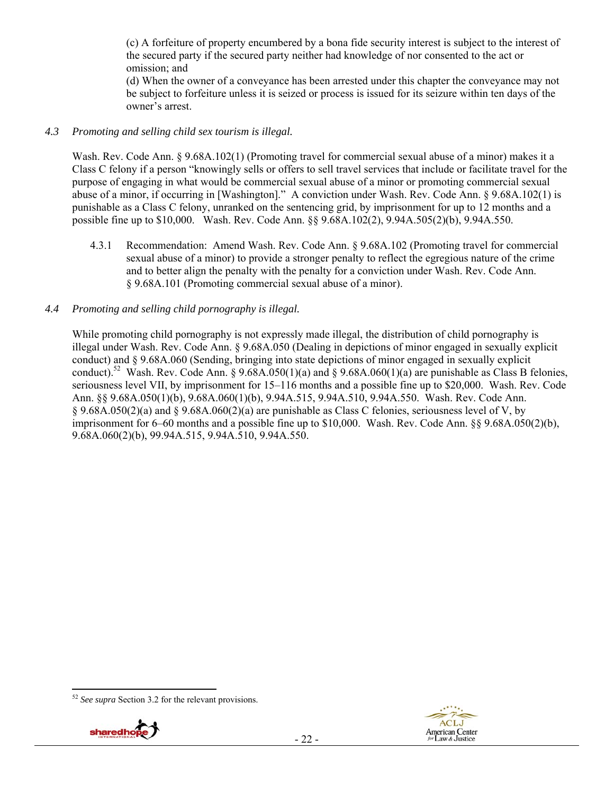(c) A forfeiture of property encumbered by a bona fide security interest is subject to the interest of the secured party if the secured party neither had knowledge of nor consented to the act or omission; and

(d) When the owner of a conveyance has been arrested under this chapter the conveyance may not be subject to forfeiture unless it is seized or process is issued for its seizure within ten days of the owner's arrest.

#### *4.3 Promoting and selling child sex tourism is illegal.*

Wash. Rev. Code Ann. § 9.68A.102(1) (Promoting travel for commercial sexual abuse of a minor) makes it a Class C felony if a person "knowingly sells or offers to sell travel services that include or facilitate travel for the purpose of engaging in what would be commercial sexual abuse of a minor or promoting commercial sexual abuse of a minor, if occurring in [Washington]." A conviction under Wash. Rev. Code Ann. § 9.68A.102(1) is punishable as a Class C felony, unranked on the sentencing grid, by imprisonment for up to 12 months and a possible fine up to \$10,000. Wash. Rev. Code Ann. §§ 9.68A.102(2), 9.94A.505(2)(b), 9.94A.550.

4.3.1 Recommendation: Amend Wash. Rev. Code Ann. § 9.68A.102 (Promoting travel for commercial sexual abuse of a minor) to provide a stronger penalty to reflect the egregious nature of the crime and to better align the penalty with the penalty for a conviction under Wash. Rev. Code Ann. § 9.68A.101 (Promoting commercial sexual abuse of a minor).

#### *4.4 Promoting and selling child pornography is illegal.*

While promoting child pornography is not expressly made illegal, the distribution of child pornography is illegal under Wash. Rev. Code Ann. § 9.68A.050 (Dealing in depictions of minor engaged in sexually explicit conduct) and § 9.68A.060 (Sending, bringing into state depictions of minor engaged in sexually explicit conduct).<sup>52</sup> Wash. Rev. Code Ann. § 9.68A.050(1)(a) and § 9.68A.060(1)(a) are punishable as Class B felonies, seriousness level VII, by imprisonment for 15–116 months and a possible fine up to \$20,000. Wash. Rev. Code Ann. §§ 9.68A.050(1)(b), 9.68A.060(1)(b), 9.94A.515, 9.94A.510, 9.94A.550. Wash. Rev. Code Ann. § 9.68A.050(2)(a) and § 9.68A.060(2)(a) are punishable as Class C felonies, seriousness level of V, by imprisonment for 6–60 months and a possible fine up to \$10,000. Wash. Rev. Code Ann. §§ 9.68A.050(2)(b), 9.68A.060(2)(b), 99.94A.515, 9.94A.510, 9.94A.550.

<sup>52</sup> *See supra* Section 3.2 for the relevant provisions.



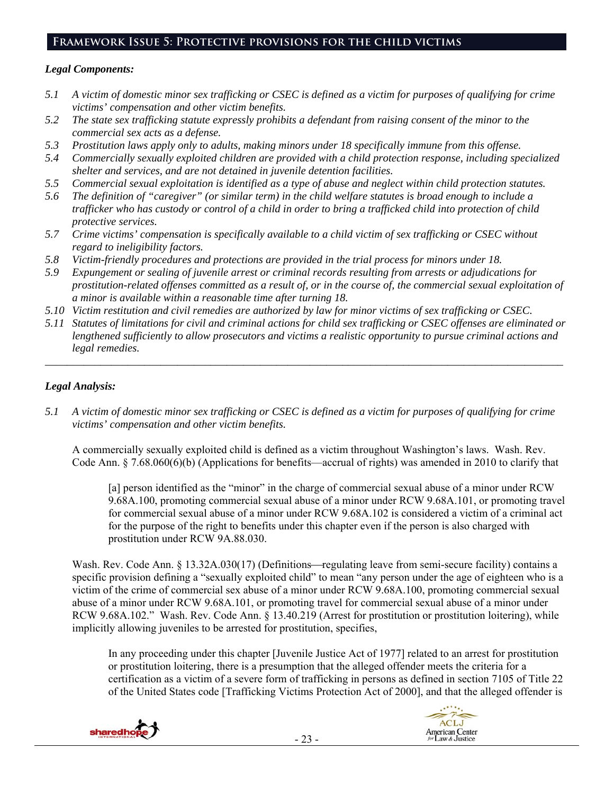# **Framework Issue 5: Protective provisions for the child victims**

#### *Legal Components:*

- *5.1 A victim of domestic minor sex trafficking or CSEC is defined as a victim for purposes of qualifying for crime victims' compensation and other victim benefits.*
- *5.2 The state sex trafficking statute expressly prohibits a defendant from raising consent of the minor to the commercial sex acts as a defense.*
- *5.3 Prostitution laws apply only to adults, making minors under 18 specifically immune from this offense.*
- *5.4 Commercially sexually exploited children are provided with a child protection response, including specialized shelter and services, and are not detained in juvenile detention facilities.*
- *5.5 Commercial sexual exploitation is identified as a type of abuse and neglect within child protection statutes.*
- *5.6 The definition of "caregiver" (or similar term) in the child welfare statutes is broad enough to include a trafficker who has custody or control of a child in order to bring a trafficked child into protection of child protective services.*
- *5.7 Crime victims' compensation is specifically available to a child victim of sex trafficking or CSEC without regard to ineligibility factors.*
- *5.8 Victim-friendly procedures and protections are provided in the trial process for minors under 18.*
- *5.9 Expungement or sealing of juvenile arrest or criminal records resulting from arrests or adjudications for prostitution-related offenses committed as a result of, or in the course of, the commercial sexual exploitation of a minor is available within a reasonable time after turning 18.*
- *5.10 Victim restitution and civil remedies are authorized by law for minor victims of sex trafficking or CSEC.*
- *5.11 Statutes of limitations for civil and criminal actions for child sex trafficking or CSEC offenses are eliminated or lengthened sufficiently to allow prosecutors and victims a realistic opportunity to pursue criminal actions and legal remedies.*

*\_\_\_\_\_\_\_\_\_\_\_\_\_\_\_\_\_\_\_\_\_\_\_\_\_\_\_\_\_\_\_\_\_\_\_\_\_\_\_\_\_\_\_\_\_\_\_\_\_\_\_\_\_\_\_\_\_\_\_\_\_\_\_\_\_\_\_\_\_\_\_\_\_\_\_\_\_\_\_\_\_\_\_\_\_\_\_\_\_\_\_\_\_\_* 

## *Legal Analysis:*

*5.1 A victim of domestic minor sex trafficking or CSEC is defined as a victim for purposes of qualifying for crime victims' compensation and other victim benefits.* 

A commercially sexually exploited child is defined as a victim throughout Washington's laws. Wash. Rev. Code Ann. § 7.68.060(6)(b) (Applications for benefits—accrual of rights) was amended in 2010 to clarify that

[a] person identified as the "minor" in the charge of commercial sexual abuse of a minor under RCW 9.68A.100, promoting commercial sexual abuse of a minor under RCW 9.68A.101, or promoting travel for commercial sexual abuse of a minor under RCW 9.68A.102 is considered a victim of a criminal act for the purpose of the right to benefits under this chapter even if the person is also charged with prostitution under RCW 9A.88.030.

Wash. Rev. Code Ann. § 13.32A.030(17) (Definitions—regulating leave from semi-secure facility) contains a specific provision defining a "sexually exploited child" to mean "any person under the age of eighteen who is a victim of the crime of commercial sex abuse of a minor under RCW 9.68A.100, promoting commercial sexual abuse of a minor under RCW 9.68A.101, or promoting travel for commercial sexual abuse of a minor under RCW 9.68A.102." Wash. Rev. Code Ann. § 13.40.219 (Arrest for prostitution or prostitution loitering), while implicitly allowing juveniles to be arrested for prostitution, specifies,

In any proceeding under this chapter [Juvenile Justice Act of 1977] related to an arrest for prostitution or prostitution loitering, there is a presumption that the alleged offender meets the criteria for a certification as a victim of a severe form of trafficking in persons as defined in section 7105 of Title 22 of the United States code [Trafficking Victims Protection Act of 2000], and that the alleged offender is



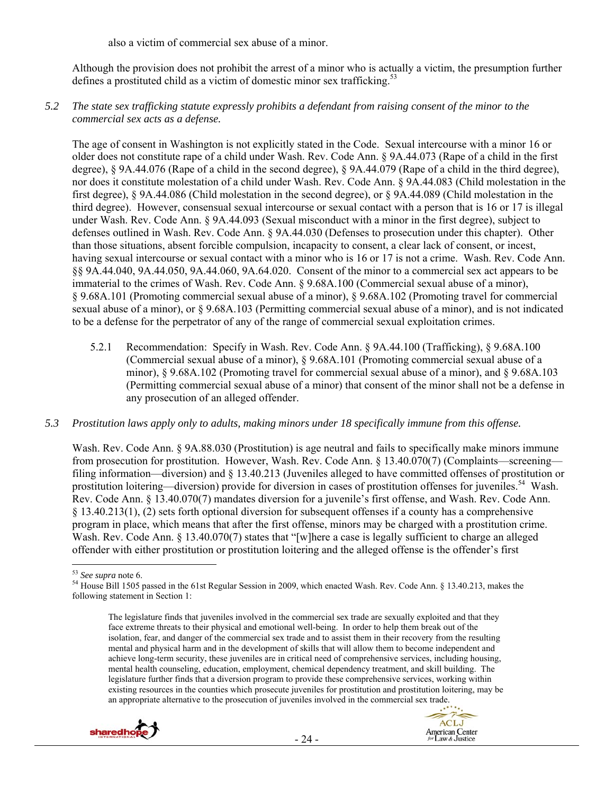also a victim of commercial sex abuse of a minor.

Although the provision does not prohibit the arrest of a minor who is actually a victim, the presumption further defines a prostituted child as a victim of domestic minor sex trafficking.<sup>53</sup>

*5.2 The state sex trafficking statute expressly prohibits a defendant from raising consent of the minor to the commercial sex acts as a defense.* 

The age of consent in Washington is not explicitly stated in the Code. Sexual intercourse with a minor 16 or older does not constitute rape of a child under Wash. Rev. Code Ann. § 9A.44.073 (Rape of a child in the first degree), § 9A.44.076 (Rape of a child in the second degree), § 9A.44.079 (Rape of a child in the third degree), nor does it constitute molestation of a child under Wash. Rev. Code Ann. § 9A.44.083 (Child molestation in the first degree), § 9A.44.086 (Child molestation in the second degree), or § 9A.44.089 (Child molestation in the third degree). However, consensual sexual intercourse or sexual contact with a person that is 16 or 17 is illegal under Wash. Rev. Code Ann. § 9A.44.093 (Sexual misconduct with a minor in the first degree), subject to defenses outlined in Wash. Rev. Code Ann. § 9A.44.030 (Defenses to prosecution under this chapter). Other than those situations, absent forcible compulsion, incapacity to consent, a clear lack of consent, or incest, having sexual intercourse or sexual contact with a minor who is 16 or 17 is not a crime. Wash. Rev. Code Ann. §§ 9A.44.040, 9A.44.050, 9A.44.060, 9A.64.020. Consent of the minor to a commercial sex act appears to be immaterial to the crimes of Wash. Rev. Code Ann. § 9.68A.100 (Commercial sexual abuse of a minor), § 9.68A.101 (Promoting commercial sexual abuse of a minor), § 9.68A.102 (Promoting travel for commercial sexual abuse of a minor), or § 9.68A.103 (Permitting commercial sexual abuse of a minor), and is not indicated to be a defense for the perpetrator of any of the range of commercial sexual exploitation crimes.

5.2.1 Recommendation: Specify in Wash. Rev. Code Ann. § 9A.44.100 (Trafficking), § 9.68A.100 (Commercial sexual abuse of a minor), § 9.68A.101 (Promoting commercial sexual abuse of a minor), § 9.68A.102 (Promoting travel for commercial sexual abuse of a minor), and § 9.68A.103 (Permitting commercial sexual abuse of a minor) that consent of the minor shall not be a defense in any prosecution of an alleged offender.

#### *5.3 Prostitution laws apply only to adults, making minors under 18 specifically immune from this offense.*

Wash. Rev. Code Ann. § 9A.88.030 (Prostitution) is age neutral and fails to specifically make minors immune from prosecution for prostitution. However, Wash. Rev. Code Ann. § 13.40.070(7) (Complaints—screening filing information—diversion) and § 13.40.213 (Juveniles alleged to have committed offenses of prostitution or prostitution loitering—diversion) provide for diversion in cases of prostitution offenses for juveniles.<sup>54</sup> Wash. Rev. Code Ann. § 13.40.070(7) mandates diversion for a juvenile's first offense, and Wash. Rev. Code Ann. § 13.40.213(1), (2) sets forth optional diversion for subsequent offenses if a county has a comprehensive program in place, which means that after the first offense, minors may be charged with a prostitution crime. Wash. Rev. Code Ann. § 13.40.070(7) states that "[w]here a case is legally sufficient to charge an alleged offender with either prostitution or prostitution loitering and the alleged offense is the offender's first

The legislature finds that juveniles involved in the commercial sex trade are sexually exploited and that they face extreme threats to their physical and emotional well-being. In order to help them break out of the isolation, fear, and danger of the commercial sex trade and to assist them in their recovery from the resulting mental and physical harm and in the development of skills that will allow them to become independent and achieve long-term security, these juveniles are in critical need of comprehensive services, including housing, mental health counseling, education, employment, chemical dependency treatment, and skill building. The legislature further finds that a diversion program to provide these comprehensive services, working within existing resources in the counties which prosecute juveniles for prostitution and prostitution loitering, may be an appropriate alternative to the prosecution of juveniles involved in the commercial sex trade.





<sup>&</sup>lt;sup>53</sup> See supra note 6.

<sup>&</sup>lt;sup>54</sup> House Bill 1505 passed in the 61st Regular Session in 2009, which enacted Wash. Rev. Code Ann. § 13.40.213, makes the following statement in Section 1: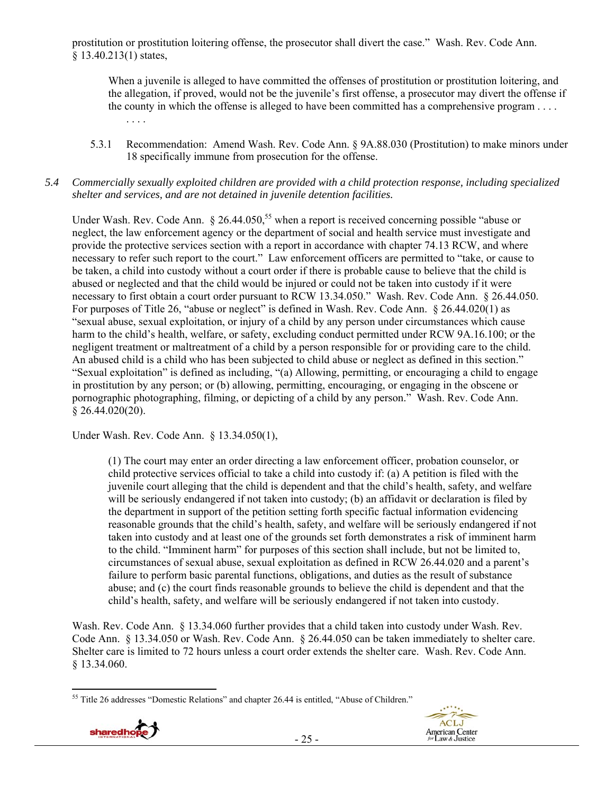prostitution or prostitution loitering offense, the prosecutor shall divert the case." Wash. Rev. Code Ann. § 13.40.213(1) states,

When a juvenile is alleged to have committed the offenses of prostitution or prostitution loitering, and the allegation, if proved, would not be the juvenile's first offense, a prosecutor may divert the offense if the county in which the offense is alleged to have been committed has a comprehensive program . . . . . . . .

5.3.1 Recommendation: Amend Wash. Rev. Code Ann. § 9A.88.030 (Prostitution) to make minors under 18 specifically immune from prosecution for the offense.

#### *5.4 Commercially sexually exploited children are provided with a child protection response, including specialized shelter and services, and are not detained in juvenile detention facilities.*

Under Wash. Rev. Code Ann.  $\S 26.44.050$ ,<sup>55</sup> when a report is received concerning possible "abuse or neglect, the law enforcement agency or the department of social and health service must investigate and provide the protective services section with a report in accordance with chapter 74.13 RCW, and where necessary to refer such report to the court." Law enforcement officers are permitted to "take, or cause to be taken, a child into custody without a court order if there is probable cause to believe that the child is abused or neglected and that the child would be injured or could not be taken into custody if it were necessary to first obtain a court order pursuant to RCW 13.34.050." Wash. Rev. Code Ann. § 26.44.050. For purposes of Title 26, "abuse or neglect" is defined in Wash. Rev. Code Ann. § 26.44.020(1) as "sexual abuse, sexual exploitation, or injury of a child by any person under circumstances which cause harm to the child's health, welfare, or safety, excluding conduct permitted under RCW 9A.16.100; or the negligent treatment or maltreatment of a child by a person responsible for or providing care to the child. An abused child is a child who has been subjected to child abuse or neglect as defined in this section." "Sexual exploitation" is defined as including, "(a) Allowing, permitting, or encouraging a child to engage in prostitution by any person; or (b) allowing, permitting, encouraging, or engaging in the obscene or pornographic photographing, filming, or depicting of a child by any person." Wash. Rev. Code Ann. § 26.44.020(20).

Under Wash. Rev. Code Ann. § 13.34.050(1),

(1) The court may enter an order directing a law enforcement officer, probation counselor, or child protective services official to take a child into custody if: (a) A petition is filed with the juvenile court alleging that the child is dependent and that the child's health, safety, and welfare will be seriously endangered if not taken into custody; (b) an affidavit or declaration is filed by the department in support of the petition setting forth specific factual information evidencing reasonable grounds that the child's health, safety, and welfare will be seriously endangered if not taken into custody and at least one of the grounds set forth demonstrates a risk of imminent harm to the child. "Imminent harm" for purposes of this section shall include, but not be limited to, circumstances of sexual abuse, sexual exploitation as defined in RCW 26.44.020 and a parent's failure to perform basic parental functions, obligations, and duties as the result of substance abuse; and (c) the court finds reasonable grounds to believe the child is dependent and that the child's health, safety, and welfare will be seriously endangered if not taken into custody.

Wash. Rev. Code Ann. § 13.34.060 further provides that a child taken into custody under Wash. Rev. Code Ann. § 13.34.050 or Wash. Rev. Code Ann. § 26.44.050 can be taken immediately to shelter care. Shelter care is limited to 72 hours unless a court order extends the shelter care. Wash. Rev. Code Ann. § 13.34.060.

 $\overline{a}$ <sup>55</sup> Title 26 addresses "Domestic Relations" and chapter 26.44 is entitled, "Abuse of Children."



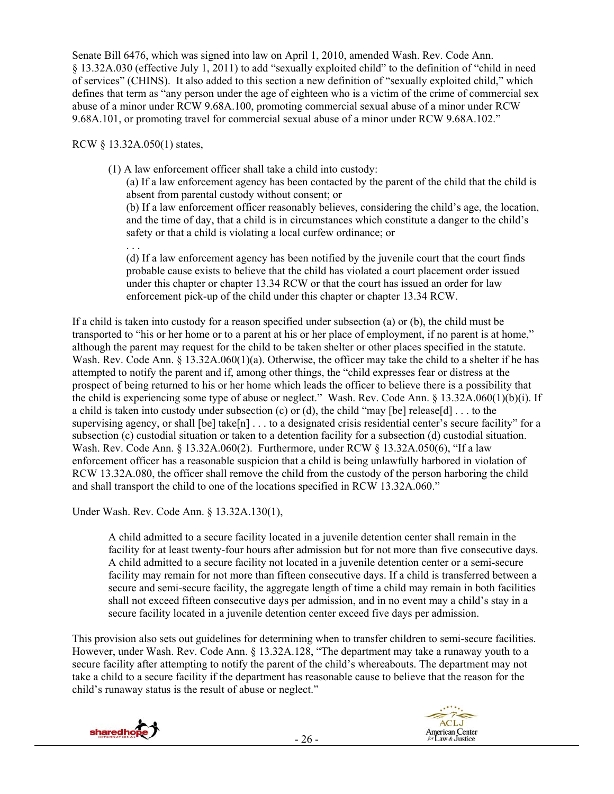Senate Bill 6476, which was signed into law on April 1, 2010, amended Wash. Rev. Code Ann. § 13.32A.030 (effective July 1, 2011) to add "sexually exploited child" to the definition of "child in need of services" (CHINS). It also added to this section a new definition of "sexually exploited child," which defines that term as "any person under the age of eighteen who is a victim of the crime of commercial sex abuse of a minor under RCW 9.68A.100, promoting commercial sexual abuse of a minor under RCW 9.68A.101, or promoting travel for commercial sexual abuse of a minor under RCW 9.68A.102."

RCW § 13.32A.050(1) states,

(1) A law enforcement officer shall take a child into custody:

(a) If a law enforcement agency has been contacted by the parent of the child that the child is absent from parental custody without consent; or

(b) If a law enforcement officer reasonably believes, considering the child's age, the location, and the time of day, that a child is in circumstances which constitute a danger to the child's safety or that a child is violating a local curfew ordinance; or

. . . (d) If a law enforcement agency has been notified by the juvenile court that the court finds probable cause exists to believe that the child has violated a court placement order issued under this chapter or chapter 13.34 RCW or that the court has issued an order for law enforcement pick-up of the child under this chapter or chapter 13.34 RCW.

If a child is taken into custody for a reason specified under subsection (a) or (b), the child must be transported to "his or her home or to a parent at his or her place of employment, if no parent is at home," although the parent may request for the child to be taken shelter or other places specified in the statute. Wash. Rev. Code Ann.  $\S$  13.32A.060(1)(a). Otherwise, the officer may take the child to a shelter if he has attempted to notify the parent and if, among other things, the "child expresses fear or distress at the prospect of being returned to his or her home which leads the officer to believe there is a possibility that the child is experiencing some type of abuse or neglect." Wash. Rev. Code Ann. § 13.32A.060(1)(b)(i). If a child is taken into custody under subsection (c) or (d), the child "may [be] release[d]  $\dots$  to the supervising agency, or shall [be] take[n] . . . to a designated crisis residential center's secure facility" for a subsection (c) custodial situation or taken to a detention facility for a subsection (d) custodial situation. Wash. Rev. Code Ann. § 13.32A.060(2). Furthermore, under RCW § 13.32A.050(6), "If a law enforcement officer has a reasonable suspicion that a child is being unlawfully harbored in violation of RCW 13.32A.080, the officer shall remove the child from the custody of the person harboring the child and shall transport the child to one of the locations specified in RCW 13.32A.060."

Under Wash. Rev. Code Ann. § 13.32A.130(1),

A child admitted to a secure facility located in a juvenile detention center shall remain in the facility for at least twenty-four hours after admission but for not more than five consecutive days. A child admitted to a secure facility not located in a juvenile detention center or a semi-secure facility may remain for not more than fifteen consecutive days. If a child is transferred between a secure and semi-secure facility, the aggregate length of time a child may remain in both facilities shall not exceed fifteen consecutive days per admission, and in no event may a child's stay in a secure facility located in a juvenile detention center exceed five days per admission.

This provision also sets out guidelines for determining when to transfer children to semi-secure facilities. However, under Wash. Rev. Code Ann. § 13.32A.128, "The department may take a runaway youth to a secure facility after attempting to notify the parent of the child's whereabouts. The department may not take a child to a secure facility if the department has reasonable cause to believe that the reason for the child's runaway status is the result of abuse or neglect."

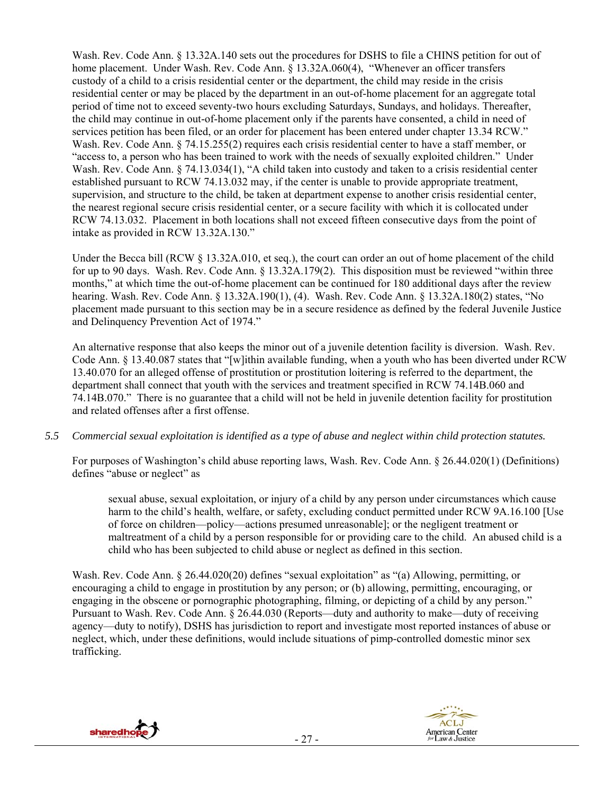Wash. Rev. Code Ann. § 13.32A.140 sets out the procedures for DSHS to file a CHINS petition for out of home placement. Under Wash. Rev. Code Ann. § 13.32A.060(4), "Whenever an officer transfers custody of a child to a crisis residential center or the department, the child may reside in the crisis residential center or may be placed by the department in an out-of-home placement for an aggregate total period of time not to exceed seventy-two hours excluding Saturdays, Sundays, and holidays. Thereafter, the child may continue in out-of-home placement only if the parents have consented, a child in need of services petition has been filed, or an order for placement has been entered under chapter 13.34 RCW." Wash. Rev. Code Ann. § 74.15.255(2) requires each crisis residential center to have a staff member, or "access to, a person who has been trained to work with the needs of sexually exploited children." Under Wash. Rev. Code Ann. § 74.13.034(1), "A child taken into custody and taken to a crisis residential center established pursuant to RCW 74.13.032 may, if the center is unable to provide appropriate treatment, supervision, and structure to the child, be taken at department expense to another crisis residential center, the nearest regional secure crisis residential center, or a secure facility with which it is collocated under RCW 74.13.032. Placement in both locations shall not exceed fifteen consecutive days from the point of intake as provided in RCW 13.32A.130."

Under the Becca bill (RCW § 13.32A.010, et seq.), the court can order an out of home placement of the child for up to 90 days. Wash. Rev. Code Ann. § 13.32A.179(2). This disposition must be reviewed "within three months," at which time the out-of-home placement can be continued for 180 additional days after the review hearing. Wash. Rev. Code Ann. § 13.32A.190(1), (4). Wash. Rev. Code Ann. § 13.32A.180(2) states, "No placement made pursuant to this section may be in a secure residence as defined by the federal Juvenile Justice and Delinquency Prevention Act of 1974."

An alternative response that also keeps the minor out of a juvenile detention facility is diversion. Wash. Rev. Code Ann. § 13.40.087 states that "[w]ithin available funding, when a youth who has been diverted under RCW 13.40.070 for an alleged offense of prostitution or prostitution loitering is referred to the department, the department shall connect that youth with the services and treatment specified in RCW 74.14B.060 and 74.14B.070." There is no guarantee that a child will not be held in juvenile detention facility for prostitution and related offenses after a first offense.

## *5.5 Commercial sexual exploitation is identified as a type of abuse and neglect within child protection statutes.*

For purposes of Washington's child abuse reporting laws, Wash. Rev. Code Ann. § 26.44.020(1) (Definitions) defines "abuse or neglect" as

sexual abuse, sexual exploitation, or injury of a child by any person under circumstances which cause harm to the child's health, welfare, or safety, excluding conduct permitted under RCW 9A.16.100 [Use of force on children—policy—actions presumed unreasonable]; or the negligent treatment or maltreatment of a child by a person responsible for or providing care to the child. An abused child is a child who has been subjected to child abuse or neglect as defined in this section.

Wash. Rev. Code Ann. § 26.44.020(20) defines "sexual exploitation" as "(a) Allowing, permitting, or encouraging a child to engage in prostitution by any person; or (b) allowing, permitting, encouraging, or engaging in the obscene or pornographic photographing, filming, or depicting of a child by any person." Pursuant to Wash. Rev. Code Ann. § 26.44.030 (Reports—duty and authority to make—duty of receiving agency—duty to notify), DSHS has jurisdiction to report and investigate most reported instances of abuse or neglect, which, under these definitions, would include situations of pimp-controlled domestic minor sex trafficking.



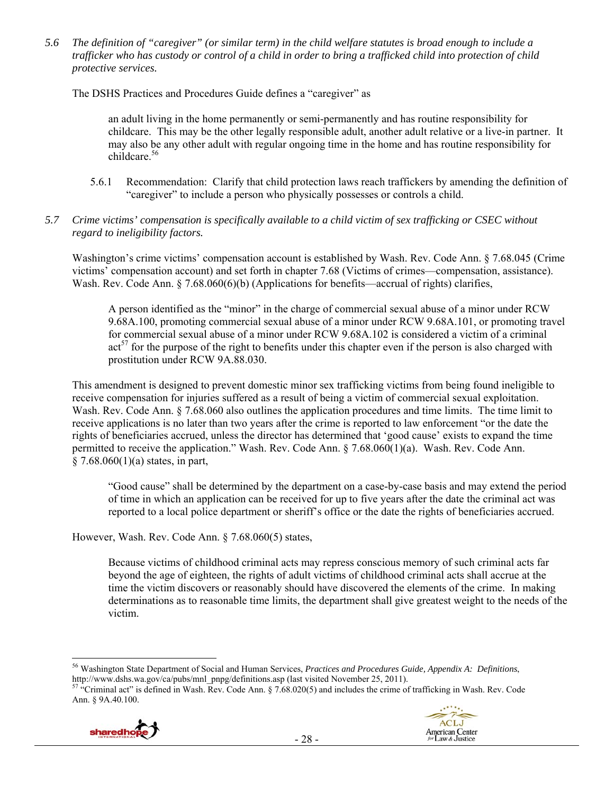*5.6 The definition of "caregiver" (or similar term) in the child welfare statutes is broad enough to include a trafficker who has custody or control of a child in order to bring a trafficked child into protection of child protective services.* 

The DSHS Practices and Procedures Guide defines a "caregiver" as

an adult living in the home permanently or semi-permanently and has routine responsibility for childcare. This may be the other legally responsible adult, another adult relative or a live-in partner. It may also be any other adult with regular ongoing time in the home and has routine responsibility for childcare.<sup>56</sup>

- 5.6.1 Recommendation: Clarify that child protection laws reach traffickers by amending the definition of "caregiver" to include a person who physically possesses or controls a child.
- *5.7 Crime victims' compensation is specifically available to a child victim of sex trafficking or CSEC without regard to ineligibility factors.*

Washington's crime victims' compensation account is established by Wash. Rev. Code Ann. § 7.68.045 (Crime victims' compensation account) and set forth in chapter 7.68 (Victims of crimes—compensation, assistance). Wash. Rev. Code Ann. § 7.68.060(6)(b) (Applications for benefits—accrual of rights) clarifies,

A person identified as the "minor" in the charge of commercial sexual abuse of a minor under RCW 9.68A.100, promoting commercial sexual abuse of a minor under RCW 9.68A.101, or promoting travel for commercial sexual abuse of a minor under RCW 9.68A.102 is considered a victim of a criminal  $\arctan^{57}$  for the purpose of the right to benefits under this chapter even if the person is also charged with prostitution under RCW 9A.88.030.

This amendment is designed to prevent domestic minor sex trafficking victims from being found ineligible to receive compensation for injuries suffered as a result of being a victim of commercial sexual exploitation. Wash. Rev. Code Ann. § 7.68.060 also outlines the application procedures and time limits. The time limit to receive applications is no later than two years after the crime is reported to law enforcement "or the date the rights of beneficiaries accrued, unless the director has determined that 'good cause' exists to expand the time permitted to receive the application." Wash. Rev. Code Ann. § 7.68.060(1)(a). Wash. Rev. Code Ann.  $§ 7.68.060(1)(a)$  states, in part,

"Good cause" shall be determined by the department on a case-by-case basis and may extend the period of time in which an application can be received for up to five years after the date the criminal act was reported to a local police department or sheriff's office or the date the rights of beneficiaries accrued.

However, Wash. Rev. Code Ann. § 7.68.060(5) states,

Because victims of childhood criminal acts may repress conscious memory of such criminal acts far beyond the age of eighteen, the rights of adult victims of childhood criminal acts shall accrue at the time the victim discovers or reasonably should have discovered the elements of the crime. In making determinations as to reasonable time limits, the department shall give greatest weight to the needs of the victim.

<sup>&</sup>lt;sup>57</sup> "Criminal act" is defined in Wash. Rev. Code Ann. § 7.68.020(5) and includes the crime of trafficking in Wash. Rev. Code Ann. § 9A.40.100.





 $\overline{a}$ 56 Washington State Department of Social and Human Services, *Practices and Procedures Guide, Appendix A: Definitions*,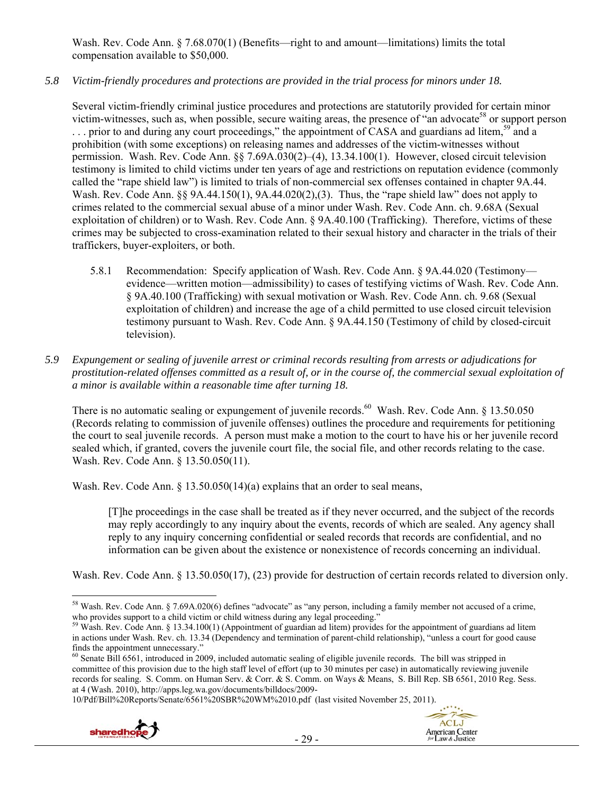Wash. Rev. Code Ann. § 7.68.070(1) (Benefits—right to and amount—limitations) limits the total compensation available to \$50,000.

#### *5.8 Victim-friendly procedures and protections are provided in the trial process for minors under 18.*

Several victim-friendly criminal justice procedures and protections are statutorily provided for certain minor victim-witnesses, such as, when possible, secure waiting areas, the presence of "an advocate<sup>58</sup> or support person ... prior to and during any court proceedings," the appointment of CASA and guardians ad litem,<sup>59</sup> and a prohibition (with some exceptions) on releasing names and addresses of the victim-witnesses without permission. Wash. Rev. Code Ann. §§ 7.69A.030(2)–(4), 13.34.100(1). However, closed circuit television testimony is limited to child victims under ten years of age and restrictions on reputation evidence (commonly called the "rape shield law") is limited to trials of non-commercial sex offenses contained in chapter 9A.44. Wash. Rev. Code Ann. §§ 9A.44.150(1), 9A.44.020(2), (3). Thus, the "rape shield law" does not apply to crimes related to the commercial sexual abuse of a minor under Wash. Rev. Code Ann. ch. 9.68A (Sexual exploitation of children) or to Wash. Rev. Code Ann. § 9A.40.100 (Trafficking). Therefore, victims of these crimes may be subjected to cross-examination related to their sexual history and character in the trials of their traffickers, buyer-exploiters, or both.

- 5.8.1 Recommendation: Specify application of Wash. Rev. Code Ann. § 9A.44.020 (Testimony evidence—written motion—admissibility) to cases of testifying victims of Wash. Rev. Code Ann. § 9A.40.100 (Trafficking) with sexual motivation or Wash. Rev. Code Ann. ch. 9.68 (Sexual exploitation of children) and increase the age of a child permitted to use closed circuit television testimony pursuant to Wash. Rev. Code Ann. § 9A.44.150 (Testimony of child by closed-circuit television).
- *5.9 Expungement or sealing of juvenile arrest or criminal records resulting from arrests or adjudications for prostitution-related offenses committed as a result of, or in the course of, the commercial sexual exploitation of a minor is available within a reasonable time after turning 18.*

There is no automatic sealing or expungement of juvenile records.<sup>60</sup> Wash. Rev. Code Ann.  $\S$  13.50.050 (Records relating to commission of juvenile offenses) outlines the procedure and requirements for petitioning the court to seal juvenile records. A person must make a motion to the court to have his or her juvenile record sealed which, if granted, covers the juvenile court file, the social file, and other records relating to the case. Wash. Rev. Code Ann. § 13.50.050(11).

Wash. Rev. Code Ann. § 13.50.050(14)(a) explains that an order to seal means,

[T]he proceedings in the case shall be treated as if they never occurred, and the subject of the records may reply accordingly to any inquiry about the events, records of which are sealed. Any agency shall reply to any inquiry concerning confidential or sealed records that records are confidential, and no information can be given about the existence or nonexistence of records concerning an individual.

Wash. Rev. Code Ann. § 13.50.050(17), (23) provide for destruction of certain records related to diversion only.

10/Pdf/Bill%20Reports/Senate/6561%20SBR%20WM%2010.pdf (last visited November 25, 2011).





 $\overline{a}$ <sup>58</sup> Wash. Rev. Code Ann. § 7.69A.020(6) defines "advocate" as "any person, including a family member not accused of a crime, who provides support to a child victim or child witness during any legal proceeding."

<sup>&</sup>lt;sup>59</sup> Wash. Rev. Code Ann. § 13.34.100(1) (Appointment of guardian ad litem) provides for the appointment of guardians ad litem in actions under Wash. Rev. ch. 13.34 (Dependency and termination of parent-child relationship), "unless a court for good cause finds the appointment unnecessary."<br><sup>60</sup> Senate Bill 6561, introduced in 2009, included automatic sealing of eligible juvenile records. The bill was stripped in

committee of this provision due to the high staff level of effort (up to 30 minutes per case) in automatically reviewing juvenile records for sealing. S. Comm. on Human Serv. & Corr. & S. Comm. on Ways & Means, S. Bill Rep. SB 6561, 2010 Reg. Sess. at 4 (Wash. 2010), http://apps.leg.wa.gov/documents/billdocs/2009-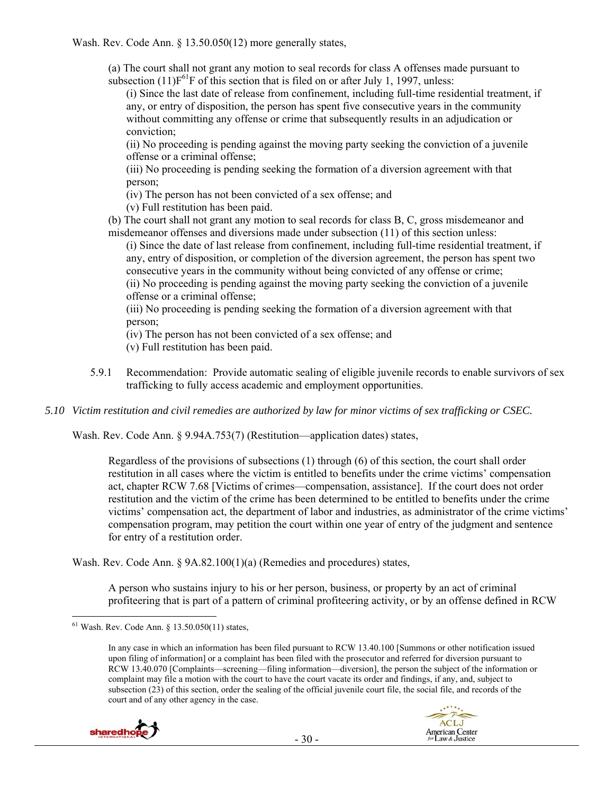Wash. Rev. Code Ann. § 13.50.050(12) more generally states,

(a) The court shall not grant any motion to seal records for class A offenses made pursuant to subsection  $(11)F^{61}F$  of this section that is filed on or after July 1, 1997, unless:

(i) Since the last date of release from confinement, including full-time residential treatment, if any, or entry of disposition, the person has spent five consecutive years in the community without committing any offense or crime that subsequently results in an adjudication or conviction;

(ii) No proceeding is pending against the moving party seeking the conviction of a juvenile offense or a criminal offense;

(iii) No proceeding is pending seeking the formation of a diversion agreement with that person;

(iv) The person has not been convicted of a sex offense; and

(v) Full restitution has been paid.

(b) The court shall not grant any motion to seal records for class B, C, gross misdemeanor and misdemeanor offenses and diversions made under subsection (11) of this section unless:

(i) Since the date of last release from confinement, including full-time residential treatment, if any, entry of disposition, or completion of the diversion agreement, the person has spent two consecutive years in the community without being convicted of any offense or crime;

(ii) No proceeding is pending against the moving party seeking the conviction of a juvenile offense or a criminal offense;

(iii) No proceeding is pending seeking the formation of a diversion agreement with that person;

(iv) The person has not been convicted of a sex offense; and

(v) Full restitution has been paid.

- 5.9.1 Recommendation: Provide automatic sealing of eligible juvenile records to enable survivors of sex trafficking to fully access academic and employment opportunities.
- *5.10 Victim restitution and civil remedies are authorized by law for minor victims of sex trafficking or CSEC.*

Wash. Rev. Code Ann. § 9.94A.753(7) (Restitution—application dates) states,

Regardless of the provisions of subsections (1) through (6) of this section, the court shall order restitution in all cases where the victim is entitled to benefits under the crime victims' compensation act, chapter RCW 7.68 [Victims of crimes—compensation, assistance]. If the court does not order restitution and the victim of the crime has been determined to be entitled to benefits under the crime victims' compensation act, the department of labor and industries, as administrator of the crime victims' compensation program, may petition the court within one year of entry of the judgment and sentence for entry of a restitution order.

Wash. Rev. Code Ann. § 9A.82.100(1)(a) (Remedies and procedures) states,

A person who sustains injury to his or her person, business, or property by an act of criminal profiteering that is part of a pattern of criminal profiteering activity, or by an offense defined in RCW

In any case in which an information has been filed pursuant to RCW 13.40.100 [Summons or other notification issued upon filing of information] or a complaint has been filed with the prosecutor and referred for diversion pursuant to RCW 13.40.070 [Complaints—screening—filing information—diversion], the person the subject of the information or complaint may file a motion with the court to have the court vacate its order and findings, if any, and, subject to subsection (23) of this section, order the sealing of the official juvenile court file, the social file, and records of the court and of any other agency in the case.



 $\overline{a}$  $61$  Wash. Rev. Code Ann.  $\S$  13.50.050(11) states,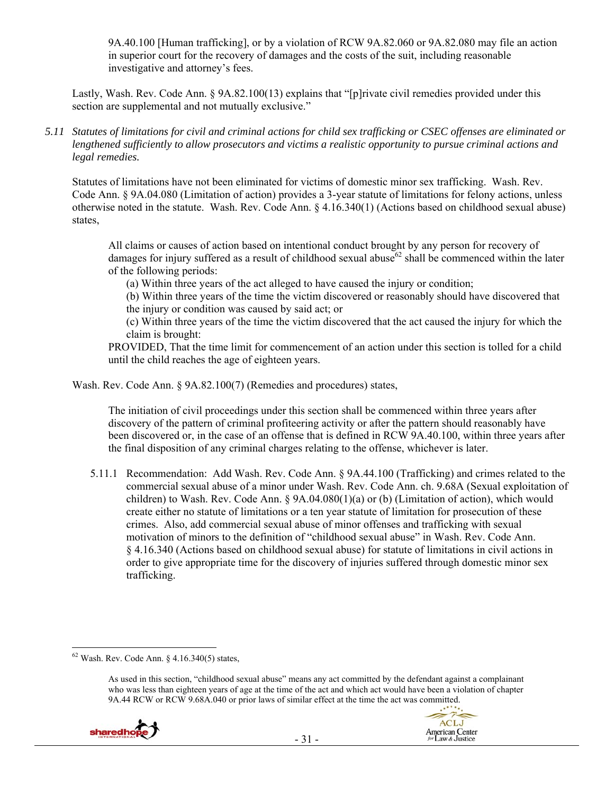9A.40.100 [Human trafficking], or by a violation of RCW 9A.82.060 or 9A.82.080 may file an action in superior court for the recovery of damages and the costs of the suit, including reasonable investigative and attorney's fees.

Lastly, Wash. Rev. Code Ann. § 9A.82.100(13) explains that "[p]rivate civil remedies provided under this section are supplemental and not mutually exclusive."

*5.11 Statutes of limitations for civil and criminal actions for child sex trafficking or CSEC offenses are eliminated or lengthened sufficiently to allow prosecutors and victims a realistic opportunity to pursue criminal actions and legal remedies.* 

Statutes of limitations have not been eliminated for victims of domestic minor sex trafficking. Wash. Rev. Code Ann. § 9A.04.080 (Limitation of action) provides a 3-year statute of limitations for felony actions, unless otherwise noted in the statute. Wash. Rev. Code Ann. § 4.16.340(1) (Actions based on childhood sexual abuse) states,

All claims or causes of action based on intentional conduct brought by any person for recovery of damages for injury suffered as a result of childhood sexual abuse<sup>62</sup> shall be commenced within the later of the following periods:

(a) Within three years of the act alleged to have caused the injury or condition;

(b) Within three years of the time the victim discovered or reasonably should have discovered that the injury or condition was caused by said act; or

(c) Within three years of the time the victim discovered that the act caused the injury for which the claim is brought:

PROVIDED, That the time limit for commencement of an action under this section is tolled for a child until the child reaches the age of eighteen years.

Wash. Rev. Code Ann. § 9A.82.100(7) (Remedies and procedures) states,

The initiation of civil proceedings under this section shall be commenced within three years after discovery of the pattern of criminal profiteering activity or after the pattern should reasonably have been discovered or, in the case of an offense that is defined in RCW 9A.40.100, within three years after the final disposition of any criminal charges relating to the offense, whichever is later.

5.11.1 Recommendation: Add Wash. Rev. Code Ann. § 9A.44.100 (Trafficking) and crimes related to the commercial sexual abuse of a minor under Wash. Rev. Code Ann. ch. 9.68A (Sexual exploitation of children) to Wash. Rev. Code Ann. § 9A.04.080(1)(a) or (b) (Limitation of action), which would create either no statute of limitations or a ten year statute of limitation for prosecution of these crimes. Also, add commercial sexual abuse of minor offenses and trafficking with sexual motivation of minors to the definition of "childhood sexual abuse" in Wash. Rev. Code Ann. § 4.16.340 (Actions based on childhood sexual abuse) for statute of limitations in civil actions in order to give appropriate time for the discovery of injuries suffered through domestic minor sex trafficking.

As used in this section, "childhood sexual abuse" means any act committed by the defendant against a complainant who was less than eighteen years of age at the time of the act and which act would have been a violation of chapter 9A.44 RCW or RCW 9.68A.040 or prior laws of similar effect at the time the act was committed.





 $62$  Wash. Rev. Code Ann. § 4.16.340(5) states,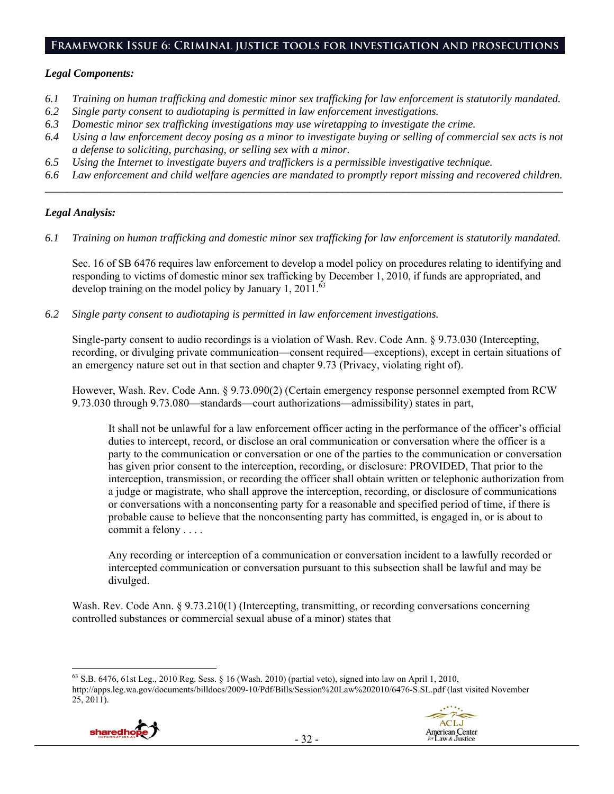#### **Framework Issue 6: Criminal justice tools for investigation and prosecutions**

#### *Legal Components:*

- *6.1 Training on human trafficking and domestic minor sex trafficking for law enforcement is statutorily mandated.*
- *6.2 Single party consent to audiotaping is permitted in law enforcement investigations.*
- *6.3 Domestic minor sex trafficking investigations may use wiretapping to investigate the crime.*
- *6.4 Using a law enforcement decoy posing as a minor to investigate buying or selling of commercial sex acts is not a defense to soliciting, purchasing, or selling sex with a minor.*
- *6.5 Using the Internet to investigate buyers and traffickers is a permissible investigative technique.*
- *6.6 Law enforcement and child welfare agencies are mandated to promptly report missing and recovered children. \_\_\_\_\_\_\_\_\_\_\_\_\_\_\_\_\_\_\_\_\_\_\_\_\_\_\_\_\_\_\_\_\_\_\_\_\_\_\_\_\_\_\_\_\_\_\_\_\_\_\_\_\_\_\_\_\_\_\_\_\_\_\_\_\_\_\_\_\_\_\_\_\_\_\_\_\_\_\_\_\_\_\_\_\_\_\_\_\_\_\_\_\_\_*

## *Legal Analysis:*

*6.1 Training on human trafficking and domestic minor sex trafficking for law enforcement is statutorily mandated.* 

Sec. 16 of SB 6476 requires law enforcement to develop a model policy on procedures relating to identifying and responding to victims of domestic minor sex trafficking by December 1, 2010, if funds are appropriated, and develop training on the model policy by January 1, 2011. $^{63}$ 

*6.2 Single party consent to audiotaping is permitted in law enforcement investigations.* 

Single-party consent to audio recordings is a violation of Wash. Rev. Code Ann. § 9.73.030 (Intercepting, recording, or divulging private communication—consent required—exceptions), except in certain situations of an emergency nature set out in that section and chapter 9.73 (Privacy, violating right of).

However, Wash. Rev. Code Ann. § 9.73.090(2) (Certain emergency response personnel exempted from RCW 9.73.030 through 9.73.080—standards—court authorizations—admissibility) states in part,

It shall not be unlawful for a law enforcement officer acting in the performance of the officer's official duties to intercept, record, or disclose an oral communication or conversation where the officer is a party to the communication or conversation or one of the parties to the communication or conversation has given prior consent to the interception, recording, or disclosure: PROVIDED, That prior to the interception, transmission, or recording the officer shall obtain written or telephonic authorization from a judge or magistrate, who shall approve the interception, recording, or disclosure of communications or conversations with a nonconsenting party for a reasonable and specified period of time, if there is probable cause to believe that the nonconsenting party has committed, is engaged in, or is about to commit a felony . . . .

Any recording or interception of a communication or conversation incident to a lawfully recorded or intercepted communication or conversation pursuant to this subsection shall be lawful and may be divulged.

Wash. Rev. Code Ann. § 9.73.210(1) (Intercepting, transmitting, or recording conversations concerning controlled substances or commercial sexual abuse of a minor) states that

 $\overline{a}$  $63$  S.B. 6476, 61st Leg., 2010 Reg. Sess. § 16 (Wash. 2010) (partial veto), signed into law on April 1, 2010, http://apps.leg.wa.gov/documents/billdocs/2009-10/Pdf/Bills/Session%20Law%202010/6476-S.SL.pdf (last visited November  $25, 2011$ ).

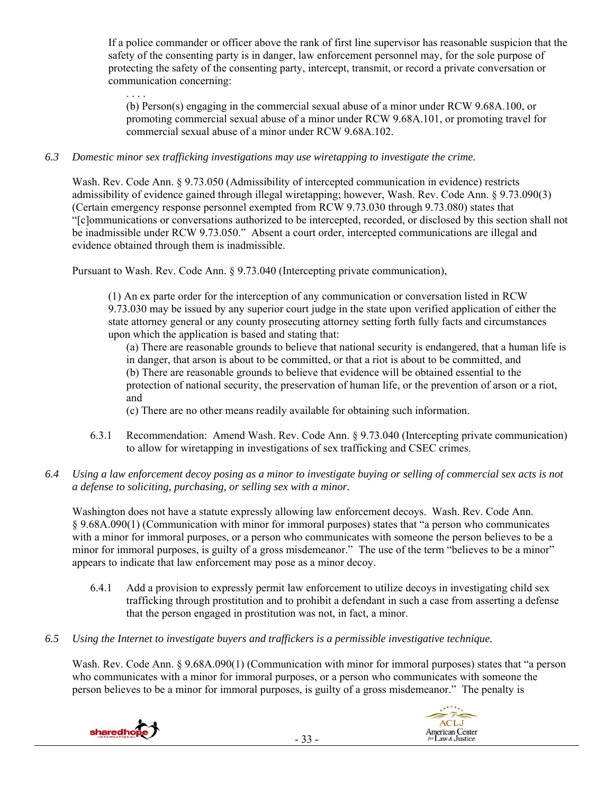If a police commander or officer above the rank of first line supervisor has reasonable suspicion that the safety of the consenting party is in danger, law enforcement personnel may, for the sole purpose of protecting the safety of the consenting party, intercept, transmit, or record a private conversation or communication concerning:

. . . . (b) Person(s) engaging in the commercial sexual abuse of a minor under RCW 9.68A.100, or promoting commercial sexual abuse of a minor under RCW 9.68A.101, or promoting travel for commercial sexual abuse of a minor under RCW 9.68A.102.

# *6.3 Domestic minor sex trafficking investigations may use wiretapping to investigate the crime.*

Wash. Rev. Code Ann. § 9.73.050 (Admissibility of intercepted communication in evidence) restricts admissibility of evidence gained through illegal wiretapping; however, Wash. Rev. Code Ann. § 9.73.090(3) (Certain emergency response personnel exempted from RCW 9.73.030 through 9.73.080) states that "[c]ommunications or conversations authorized to be intercepted, recorded, or disclosed by this section shall not be inadmissible under RCW 9.73.050." Absent a court order, intercepted communications are illegal and evidence obtained through them is inadmissible.

Pursuant to Wash. Rev. Code Ann. § 9.73.040 (Intercepting private communication),

(1) An ex parte order for the interception of any communication or conversation listed in RCW 9.73.030 may be issued by any superior court judge in the state upon verified application of either the state attorney general or any county prosecuting attorney setting forth fully facts and circumstances upon which the application is based and stating that:

(a) There are reasonable grounds to believe that national security is endangered, that a human life is in danger, that arson is about to be committed, or that a riot is about to be committed, and

(b) There are reasonable grounds to believe that evidence will be obtained essential to the

protection of national security, the preservation of human life, or the prevention of arson or a riot, and

(c) There are no other means readily available for obtaining such information.

6.3.1 Recommendation: Amend Wash. Rev. Code Ann. § 9.73.040 (Intercepting private communication) to allow for wiretapping in investigations of sex trafficking and CSEC crimes.

## *6.4 Using a law enforcement decoy posing as a minor to investigate buying or selling of commercial sex acts is not a defense to soliciting, purchasing, or selling sex with a minor.*

Washington does not have a statute expressly allowing law enforcement decoys. Wash. Rev. Code Ann. § 9.68A.090(1) (Communication with minor for immoral purposes) states that "a person who communicates with a minor for immoral purposes, or a person who communicates with someone the person believes to be a minor for immoral purposes, is guilty of a gross misdemeanor." The use of the term "believes to be a minor" appears to indicate that law enforcement may pose as a minor decoy.

- 6.4.1 Add a provision to expressly permit law enforcement to utilize decoys in investigating child sex trafficking through prostitution and to prohibit a defendant in such a case from asserting a defense that the person engaged in prostitution was not, in fact, a minor.
- *6.5 Using the Internet to investigate buyers and traffickers is a permissible investigative technique.*

Wash. Rev. Code Ann. § 9.68A.090(1) (Communication with minor for immoral purposes) states that "a person who communicates with a minor for immoral purposes, or a person who communicates with someone the person believes to be a minor for immoral purposes, is guilty of a gross misdemeanor." The penalty is



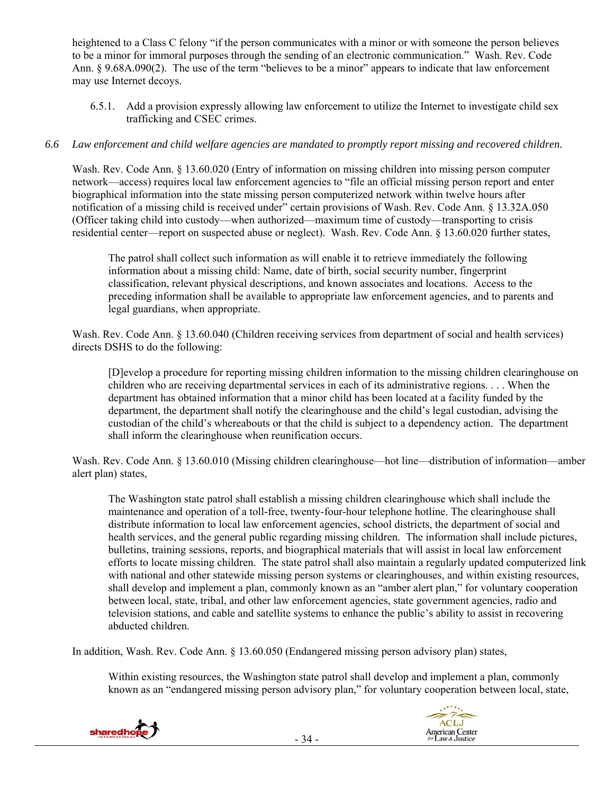heightened to a Class C felony "if the person communicates with a minor or with someone the person believes to be a minor for immoral purposes through the sending of an electronic communication." Wash. Rev. Code Ann. § 9.68A.090(2). The use of the term "believes to be a minor" appears to indicate that law enforcement may use Internet decoys.

6.5.1. Add a provision expressly allowing law enforcement to utilize the Internet to investigate child sex trafficking and CSEC crimes.

## *6.6 Law enforcement and child welfare agencies are mandated to promptly report missing and recovered children.*

Wash. Rev. Code Ann. § 13.60.020 (Entry of information on missing children into missing person computer network—access) requires local law enforcement agencies to "file an official missing person report and enter biographical information into the state missing person computerized network within twelve hours after notification of a missing child is received under" certain provisions of Wash. Rev. Code Ann. § 13.32A.050 (Officer taking child into custody—when authorized—maximum time of custody—transporting to crisis residential center—report on suspected abuse or neglect). Wash. Rev. Code Ann. § 13.60.020 further states,

The patrol shall collect such information as will enable it to retrieve immediately the following information about a missing child: Name, date of birth, social security number, fingerprint classification, relevant physical descriptions, and known associates and locations. Access to the preceding information shall be available to appropriate law enforcement agencies, and to parents and legal guardians, when appropriate.

Wash. Rev. Code Ann. § 13.60.040 (Children receiving services from department of social and health services) directs DSHS to do the following:

[D]evelop a procedure for reporting missing children information to the missing children clearinghouse on children who are receiving departmental services in each of its administrative regions. . . . When the department has obtained information that a minor child has been located at a facility funded by the department, the department shall notify the clearinghouse and the child's legal custodian, advising the custodian of the child's whereabouts or that the child is subject to a dependency action. The department shall inform the clearinghouse when reunification occurs.

Wash. Rev. Code Ann. § 13.60.010 (Missing children clearinghouse—hot line—distribution of information—amber alert plan) states,

The Washington state patrol shall establish a missing children clearinghouse which shall include the maintenance and operation of a toll-free, twenty-four-hour telephone hotline. The clearinghouse shall distribute information to local law enforcement agencies, school districts, the department of social and health services, and the general public regarding missing children. The information shall include pictures, bulletins, training sessions, reports, and biographical materials that will assist in local law enforcement efforts to locate missing children. The state patrol shall also maintain a regularly updated computerized link with national and other statewide missing person systems or clearinghouses, and within existing resources, shall develop and implement a plan, commonly known as an "amber alert plan," for voluntary cooperation between local, state, tribal, and other law enforcement agencies, state government agencies, radio and television stations, and cable and satellite systems to enhance the public's ability to assist in recovering abducted children.

In addition, Wash. Rev. Code Ann. § 13.60.050 (Endangered missing person advisory plan) states,

Within existing resources, the Washington state patrol shall develop and implement a plan, commonly known as an "endangered missing person advisory plan," for voluntary cooperation between local, state,